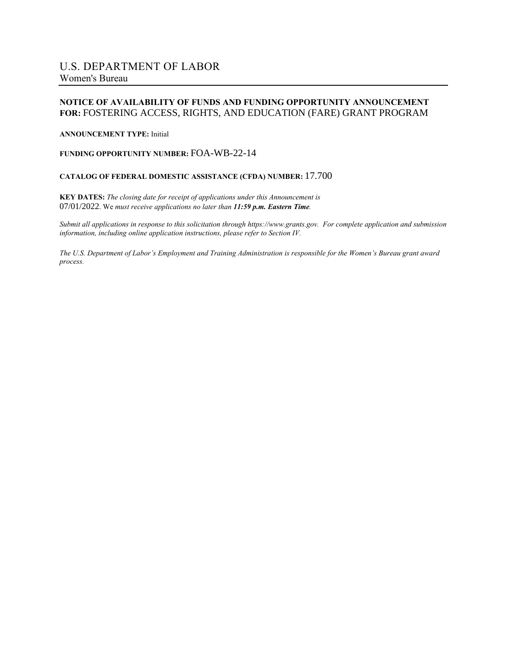#### **NOTICE OF AVAILABILITY OF FUNDS AND FUNDING OPPORTUNITY ANNOUNCEMENT FOR:** FOSTERING ACCESS, RIGHTS, AND EDUCATION (FARE) GRANT PROGRAM

#### **ANNOUNCEMENT TYPE:** Initial

#### **FUNDING OPPORTUNITY NUMBER:** FOA-WB-22-14

#### **CATALOG OF FEDERAL DOMESTIC ASSISTANCE (CFDA) NUMBER:** 17.700

**KEY DATES:** *The closing date for receipt of applications under this Announcement is* 07/01/2022. We *must receive applications no later than 11:59 p.m. Eastern Time.*

Submit all applications in response to this solicitation through https://www.grants.gov. For complete application and submission *information, including online application instructions, please refer to Section IV.*

The U.S. Department of Labor's Employment and Training Administration is responsible for the Women's Bureau grant award *process.*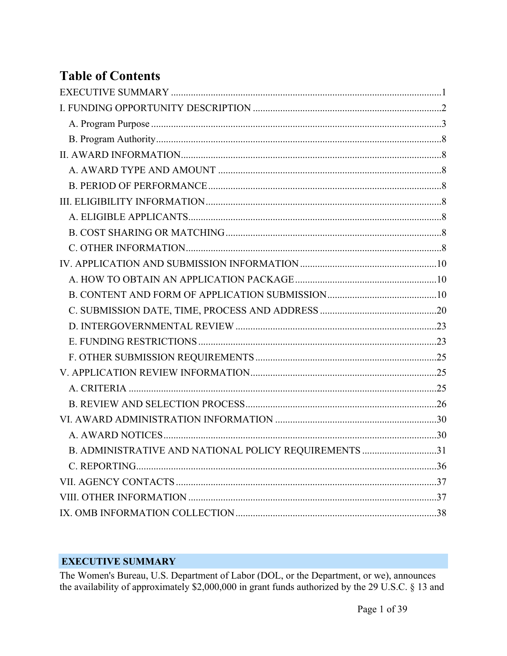# **Table of Contents**

| B. ADMINISTRATIVE AND NATIONAL POLICY REQUIREMENTS 31 |  |
|-------------------------------------------------------|--|
|                                                       |  |
|                                                       |  |
|                                                       |  |
|                                                       |  |

# <span id="page-1-0"></span>**EXECUTIVE SUMMARY**

The Women's Bureau, U.S. Department of Labor (DOL, or the Department, or we), announces the availability of approximately \$2,000,000 in grant funds authorized by the 29 U.S.C. § 13 and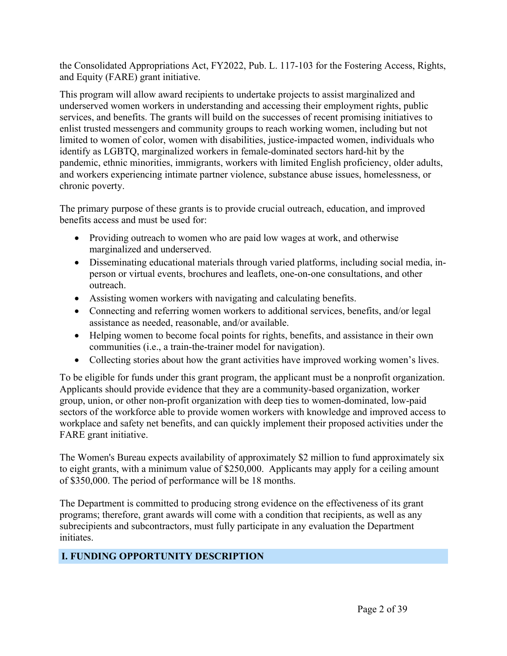the Consolidated Appropriations Act, FY2022, Pub. L. 117-103 for the Fostering Access, Rights, and Equity (FARE) grant initiative.

This program will allow award recipients to undertake projects to assist marginalized and underserved women workers in understanding and accessing their employment rights, public services, and benefits. The grants will build on the successes of recent promising initiatives to enlist trusted messengers and community groups to reach working women, including but not limited to women of color, women with disabilities, justice-impacted women, individuals who identify as LGBTQ, marginalized workers in female-dominated sectors hard-hit by the pandemic, ethnic minorities, immigrants, workers with limited English proficiency, older adults, and workers experiencing intimate partner violence, substance abuse issues, homelessness, or chronic poverty.

The primary purpose of these grants is to provide crucial outreach, education, and improved benefits access and must be used for:

- Providing outreach to women who are paid low wages at work, and otherwise marginalized and underserved.
- Disseminating educational materials through varied platforms, including social media, inperson or virtual events, brochures and leaflets, one-on-one consultations, and other outreach.
- Assisting women workers with navigating and calculating benefits.
- Connecting and referring women workers to additional services, benefits, and/or legal assistance as needed, reasonable, and/or available.
- Helping women to become focal points for rights, benefits, and assistance in their own communities (i.e., a train-the-trainer model for navigation).
- Collecting stories about how the grant activities have improved working women's lives.

To be eligible for funds under this grant program, the applicant must be a nonprofit organization. Applicants should provide evidence that they are a community-based organization, worker group, union, or other non-profit organization with deep ties to women-dominated, low-paid sectors of the workforce able to provide women workers with knowledge and improved access to workplace and safety net benefits, and can quickly implement their proposed activities under the FARE grant initiative.

The Women's Bureau expects availability of approximately \$2 million to fund approximately six to eight grants, with a minimum value of \$250,000. Applicants may apply for a ceiling amount of \$350,000. The period of performance will be 18 months.

The Department is committed to producing strong evidence on the effectiveness of its grant programs; therefore, grant awards will come with a condition that recipients, as well as any subrecipients and subcontractors, must fully participate in any evaluation the Department initiates.

# <span id="page-2-0"></span>**I. FUNDING OPPORTUNITY DESCRIPTION**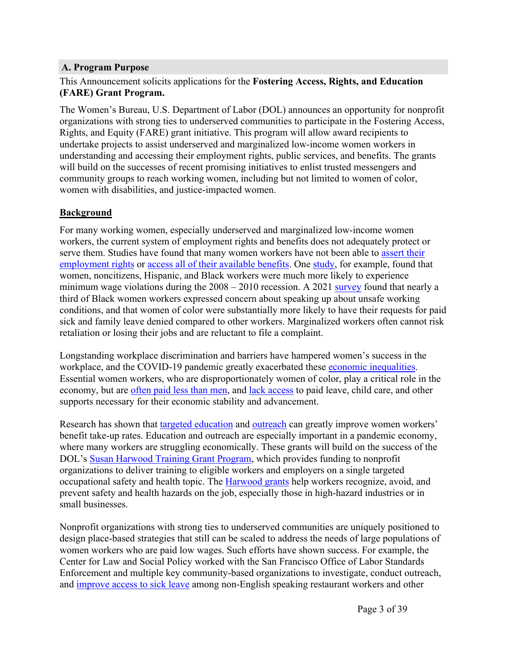#### <span id="page-3-0"></span>**A. Program Purpose**

#### This Announcement solicits applications for the **Fostering Access, Rights, and Education (FARE) Grant Program.**

The Women's Bureau, U.S. Department of Labor (DOL) announces an opportunity for nonprofit organizations with strong ties to underserved communities to participate in the Fostering Access, Rights, and Equity (FARE) grant initiative. This program will allow award recipients to undertake projects to assist underserved and marginalized low-income women workers in understanding and accessing their employment rights, public services, and benefits. The grants will build on the successes of recent promising initiatives to enlist trusted messengers and community groups to reach working women, including but not limited to women of color, women with disabilities, and justice-impacted women.

#### **Background**

For many working women, especially underserved and marginalized low-income women workers, the current system of employment rights and benefits does not adequately protect or serve them. Studies have found that many women workers have not been able to [assert](https://rooseveltinstitute.org/publications/american-workers-experiences-with-power-information-and-rights-on-the-job-a-roadmap-for-reform/) their [employment](https://rooseveltinstitute.org/publications/american-workers-experiences-with-power-information-and-rights-on-the-job-a-roadmap-for-reform/) rights or access all of their [available](https://www.dol.gov/sites/dolgov/files/OASP/evaluation/pdf/WHD_FMLA2018SurveyResults_FinalReport_Aug2020.pdf) benefits. One [study](https://www.ipr.northwestern.edu/documents/working-papers/2021/wp-21-09.pdf), for example, found that women, noncitizens, Hispanic, and Black workers were much more likely to experience minimum wage violations during the  $2008 - 2010$  recession. A 2021 [survey](https://www.nelp.org/publication/foundations-for-a-just-and-inclusive-recovery/) found that nearly a third of Black women workers expressed concern about speaking up about unsafe working conditions, and that women of color were substantially more likely to have their requests for paid sick and family leave denied compared to other workers. Marginalized workers often cannot risk retaliation or losing their jobs and are reluctant to file a complaint.

Longstanding workplace discrimination and barriers have hampered women's success in the workplace, and the COVID-19 pandemic greatly exacerbated these economic [inequalities.](https://www.whitehouse.gov/briefing-room/blog/2021/03/23/covid-19-has-exacerbated-the-economic-inequality-and-caregiving-crisis-facing-women-of-color-heres-how-the-american-rescue-plan-helps/) Essential women workers, who are disproportionately women of color, play a critical role in the economy, but are [often](https://www.census.gov/library/stories/2021/03/unequally-essential-women-and-gender-pay-gap-during-covid-19.html) paid less than men, and lack [access](https://www.americanprogress.org/issues/women/reports/2020/04/23/483846/frontlines-work-home/) to paid leave, child care, and other supports necessary for their economic stability and advancement.

Research has shown that targeted [education](https://www.epi.org/publication/state-and-local-labor-standards-enforcement-during-covid-19) and [outreach](https://www.healthaffairs.org/doi/full/10.1377/hlthaff.2015.0215) can greatly improve women workers' benefit take-up rates. Education and outreach are especially important in a pandemic economy, where many workers are struggling economically. These grants will build on the success of the DOL's Susan [Harwood](https://www.osha.gov/harwoodgrants) Training Grant Program, which provides funding to nonprofit organizations to deliver training to eligible workers and employers on a single targeted occupational safety and health topic. The [Harwood](https://www.lhsfna.org/index.cfm/lifelines/may-2017/safety-training-grants-at-risk-in-proposed-budget/) grants help workers recognize, avoid, and prevent safety and health hazards on the job, especially those in high-hazard industries or in small businesses.

Nonprofit organizations with strong ties to underserved communities are uniquely positioned to design place-based strategies that still can be scaled to address the needs of large populations of women workers who are paid low wages. Such efforts have shown success. For example, the Center for Law and Social Policy worked with the San Francisco Office of Labor Standards Enforcement and multiple key community-based organizations to investigate, conduct outreach, and [improve](https://www.clasp.org/sites/default/files/2017_paidsickleaveinvestigations.pdf) access to sick leave among non-English speaking restaurant workers and other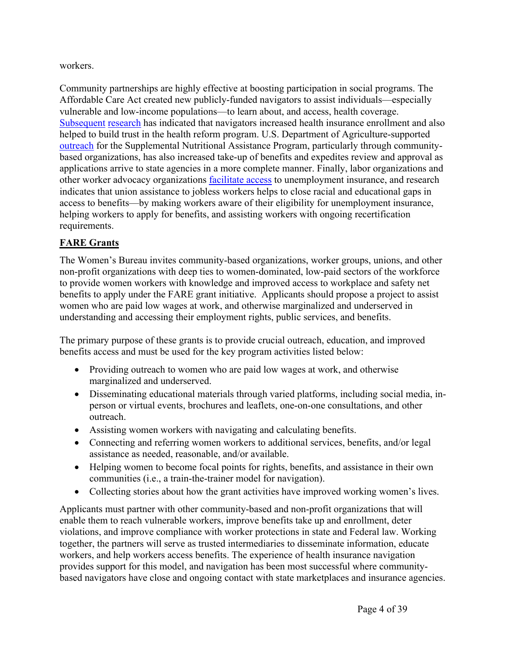#### workers.

Community partnerships are highly effective at boosting participation in social programs. The Affordable Care Act created new publicly-funded navigators to assist individuals—especially vulnerable and low-income populations—to learn about, and access, health coverage. [Subsequent](https://www.healthaffairs.org/doi/full/10.1377/hlthaff.2015.0215) [research](https://www.sciencedirect.com/science/article/pii/S0277953616300120) has indicated that navigators increased health insurance enrollment and also helped to build trust in the health reform program. U.S. Department of Agriculture-supported [outreach](https://www.russellsage.org/publications/administrative-burden) for the Supplemental Nutritional Assistance Program, particularly through communitybased organizations, has also increased take-up of benefits and expedites review and approval as applications arrive to state agencies in a more complete manner. Finally, labor organizations and other worker advocacy organizations [facilitate](https://equitablegrowth.org/wp-content/uploads/2020/10/100920-ui-workerpower-ib.pdf) access to unemployment insurance, and research indicates that union assistance to jobless workers helps to close racial and educational gaps in access to benefits—by making workers aware of their eligibility for unemployment insurance, helping workers to apply for benefits, and assisting workers with ongoing recertification requirements.

#### **FARE Grants**

The Women's Bureau invites community-based organizations, worker groups, unions, and other non-profit organizations with deep ties to women-dominated, low-paid sectors of the workforce to provide women workers with knowledge and improved access to workplace and safety net benefits to apply under the FARE grant initiative. Applicants should propose a project to assist women who are paid low wages at work, and otherwise marginalized and underserved in understanding and accessing their employment rights, public services, and benefits.

The primary purpose of these grants is to provide crucial outreach, education, and improved benefits access and must be used for the key program activities listed below:

- Providing outreach to women who are paid low wages at work, and otherwise marginalized and underserved.
- Disseminating educational materials through varied platforms, including social media, inperson or virtual events, brochures and leaflets, one-on-one consultations, and other outreach.
- Assisting women workers with navigating and calculating benefits.
- Connecting and referring women workers to additional services, benefits, and/or legal assistance as needed, reasonable, and/or available.
- Helping women to become focal points for rights, benefits, and assistance in their own communities (i.e., a train-the-trainer model for navigation).
- Collecting stories about how the grant activities have improved working women's lives.

Applicants must partner with other community-based and non-profit organizations that will enable them to reach vulnerable workers, improve benefits take up and enrollment, deter violations, and improve compliance with worker protections in state and Federal law. Working together, the partners will serve as trusted intermediaries to disseminate information, educate workers, and help workers access benefits. The experience of health insurance navigation provides support for this model, and navigation has been most successful where communitybased navigators have close and ongoing contact with state marketplaces and insurance agencies.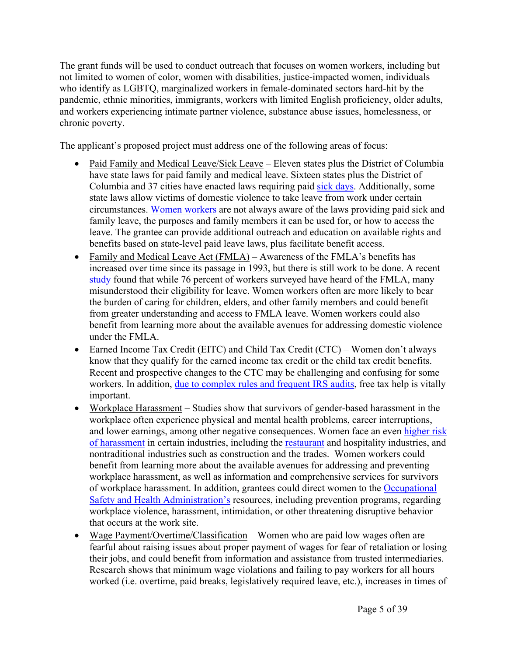The grant funds will be used to conduct outreach that focuses on women workers, including but not limited to women of color, women with disabilities, justice-impacted women, individuals who identify as LGBTQ, marginalized workers in female-dominated sectors hard-hit by the pandemic, ethnic minorities, immigrants, workers with limited English proficiency, older adults, and workers experiencing intimate partner violence, substance abuse issues, homelessness, or chronic poverty.

The applicant's proposed project must address one of the following areas of focus:

- Paid Family and Medical Leave/Sick Leave Eleven states plus the District of Columbia have state laws for paid family and medical leave. Sixteen states plus the District of Columbia and 37 cities have enacted laws requiring paid sick [days](https://familyvaluesatwork.org/media-center/timeline-of-wins/). Additionally, some state laws allow victims of domestic violence to take leave from work under certain circumstances. Women [workers](https://www.dol.gov/sites/dolgov/files/OASP/evaluation/pdf/WHD_FMLA2018SurveyResults_FinalReport_Aug2020.pdf) are not always aware of the laws providing paid sick and family leave, the purposes and family members it can be used for, or how to access the leave. The grantee can provide additional outreach and education on available rights and benefits based on state-level paid leave laws, plus facilitate benefit access.
- Family and Medical Leave Act (FMLA) Awareness of the FMLA's benefits has increased over time since its passage in 1993, but there is still work to be done. A recent [study](https://www.dol.gov/sites/dolgov/files/OASP/evaluation/pdf/WHD_FMLA2018SurveyResults_FinalReport_Aug2020.pdf) found that while 76 percent of workers surveyed have heard of the FMLA, many misunderstood their eligibility for leave. Women workers often are more likely to bear the burden of caring for children, elders, and other family members and could benefit from greater understanding and access to FMLA leave. Women workers could also benefit from learning more about the available avenues for addressing domestic violence under the FMLA.
- Earned Income Tax Credit (EITC) and Child Tax Credit (CTC) Women don't always know that they qualify for the earned income tax credit or the child tax credit benefits. Recent and prospective changes to the CTC may be challenging and confusing for some workers. In addition, due to [complex](https://www.propublica.org/article/irs-now-audits-poor-americans-at-about-the-same-rate-as-the-top-1-percent) rules and frequent IRS audits, free tax help is vitally important.
- Workplace Harassment Studies show that survivors of gender-based harassment in the workplace often experience physical and mental health problems, career interruptions, and lower earnings, among other negative consequences. Women face an even [higher](https://iwpr.org/iwpr-publications/briefing-paper/sexual-harassment-and-assault-at-work-understanding-the-costs) risk of [harassment](https://iwpr.org/iwpr-publications/briefing-paper/sexual-harassment-and-assault-at-work-understanding-the-costs) in certain industries, including the [restaurant](https://hbr.org/2018/01/sexual-harassment-is-pervasive-in-the-restaurant-industry-heres-what-needs-to-change) and hospitality industries, and nontraditional industries such as construction and the trades. Women workers could benefit from learning more about the available avenues for addressing and preventing workplace harassment, as well as information and comprehensive services for survivors of workplace harassment. In addition, grantees could direct women to the [Occupational](https://www.osha.gov/workplace-violence) Safety and Health [Administration's](https://www.osha.gov/workplace-violence) resources, including prevention programs, regarding workplace violence, harassment, intimidation, or other threatening disruptive behavior that occurs at the work site.
- Wage Payment/Overtime/Classification Women who are paid low wages often are fearful about raising issues about proper payment of wages for fear of retaliation or losing their jobs, and could benefit from information and assistance from trusted intermediaries. Research shows that minimum wage violations and failing to pay workers for all hours worked (i.e. overtime, paid breaks, legislatively required leave, etc.), increases in times of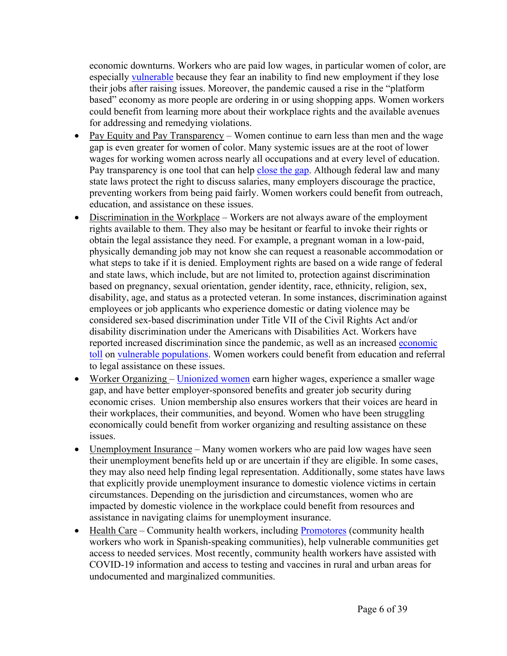economic downturns. Workers who are paid low wages, in particular women of color, are especially [vulnerable](https://www.nelp.org/publication/policies-worker-power-well-covid-19-era-beyond) because they fear an inability to find new employment if they lose their jobs after raising issues. Moreover, the pandemic caused a rise in the "platform based" economy as more people are ordering in or using shopping apps. Women workers could benefit from learning more about their workplace rights and the available avenues for addressing and remedying violations.

- Pay Equity and Pay Transparency Women continue to earn less than men and the wage gap is even greater for women of color. Many systemic issues are at the root of lower wages for working women across nearly all occupations and at every level of education. Pay transparency is one tool that can help [close](https://blog.dol.gov/2021/03/19/5-facts-about-the-state-of-the-gender-pay-gap) the gap. Although federal law and many state laws protect the right to discuss salaries, many employers discourage the practice, preventing workers from being paid fairly. Women workers could benefit from outreach, education, and assistance on these issues.
- Discrimination in the Workplace Workers are not always aware of the employment rights available to them. They also may be hesitant or fearful to invoke their rights or obtain the legal assistance they need. For example, a pregnant woman in a low-paid, physically demanding job may not know she can request a reasonable accommodation or what steps to take if it is denied. Employment rights are based on a wide range of federal and state laws, which include, but are not limited to, protection against discrimination based on pregnancy, sexual orientation, gender identity, race, ethnicity, religion, sex, disability, age, and status as a protected veteran. In some instances, discrimination against employees or job applicants who experience domestic or dating violence may be considered sex-based discrimination under Title VII of the Civil Rights Act and/or disability discrimination under the Americans with Disabilities Act. Workers have reported increased discrimination since the pandemic, as well as an increased [economic](https://source.wustl.edu/2021/07/mothers-may-face-increased-workplace-discrimination-post-pandemic-research-warns/) [toll](https://source.wustl.edu/2021/07/mothers-may-face-increased-workplace-discrimination-post-pandemic-research-warns/) on vulnerable [populations.](https://www.eeoc.gov/newsroom/eeoc-examines-connections-between-covid-19-and-civil-rights) Women workers could benefit from education and referral to legal assistance on these issues.
- Worker Organizing [Unionized](https://iwpr.org/wp-content/uploads/2021/08/Stronger-Together-Union-Membership-Boosts-Womens-Earnings-and-Economic-Security_FINAL.pdf) women earn higher wages, experience a smaller wage gap, and have better employer-sponsored benefits and greater job security during economic crises. Union membership also ensures workers that their voices are heard in their workplaces, their communities, and beyond. Women who have been struggling economically could benefit from worker organizing and resulting assistance on these issues.
- Unemployment Insurance Many women workers who are paid low wages have seen their unemployment benefits held up or are uncertain if they are eligible. In some cases, they may also need help finding legal representation. Additionally, some states have laws that explicitly provide unemployment insurance to domestic violence victims in certain circumstances. Depending on the jurisdiction and circumstances, women who are impacted by domestic violence in the workplace could benefit from resources and assistance in navigating claims for unemployment insurance.
- Health Care Community health workers, including [Promotores](https://www.cdc.gov/minorityhealth/promotores/index.html) (community health) workers who work in Spanish-speaking communities), help vulnerable communities get access to needed services. Most recently, community health workers have assisted with COVID-19 information and access to testing and vaccines in rural and urban areas for undocumented and marginalized communities.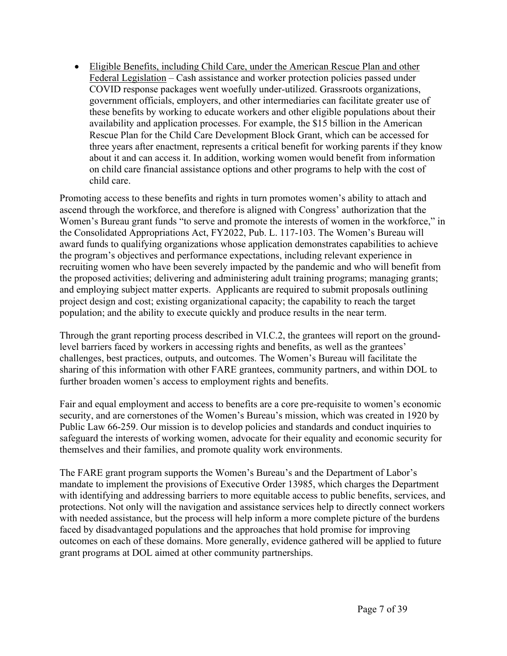Eligible Benefits, including Child Care, under the American Rescue Plan and other Federal Legislation – Cash assistance and worker protection policies passed under COVID response packages went woefully under-utilized. Grassroots organizations, government officials, employers, and other intermediaries can facilitate greater use of these benefits by working to educate workers and other eligible populations about their availability and application processes. For example, the \$15 billion in the American Rescue Plan for the Child Care Development Block Grant, which can be accessed for three years after enactment, represents a critical benefit for working parents if they know about it and can access it. In addition, working women would benefit from information on child care financial assistance options and other programs to help with the cost of child care.

Promoting access to these benefits and rights in turn promotes women's ability to attach and ascend through the workforce, and therefore is aligned with Congress' authorization that the Women's Bureau grant funds "to serve and promote the interests of women in the workforce," in the Consolidated Appropriations Act, FY2022, Pub. L. 117-103. The Women's Bureau will award funds to qualifying organizations whose application demonstrates capabilities to achieve the program's objectives and performance expectations, including relevant experience in recruiting women who have been severely impacted by the pandemic and who will benefit from the proposed activities; delivering and administering adult training programs; managing grants; and employing subject matter experts. Applicants are required to submit proposals outlining project design and cost; existing organizational capacity; the capability to reach the target population; and the ability to execute quickly and produce results in the near term.

Through the grant reporting process described in VI.C.2, the grantees will report on the groundlevel barriers faced by workers in accessing rights and benefits, as well as the grantees' challenges, best practices, outputs, and outcomes. The Women's Bureau will facilitate the sharing of this information with other FARE grantees, community partners, and within DOL to further broaden women's access to employment rights and benefits.

Fair and equal employment and access to benefits are a core pre-requisite to women's economic security, and are cornerstones of the Women's Bureau's mission, which was created in 1920 by Public Law 66-259. Our mission is to develop policies and standards and conduct inquiries to safeguard the interests of working women, advocate for their equality and economic security for themselves and their families, and promote quality work environments.

The FARE grant program supports the Women's Bureau's and the Department of Labor's mandate to implement the provisions of Executive Order 13985, which charges the Department with identifying and addressing barriers to more equitable access to public benefits, services, and protections. Not only will the navigation and assistance services help to directly connect workers with needed assistance, but the process will help inform a more complete picture of the burdens faced by disadvantaged populations and the approaches that hold promise for improving outcomes on each of these domains. More generally, evidence gathered will be applied to future grant programs at DOL aimed at other community partnerships.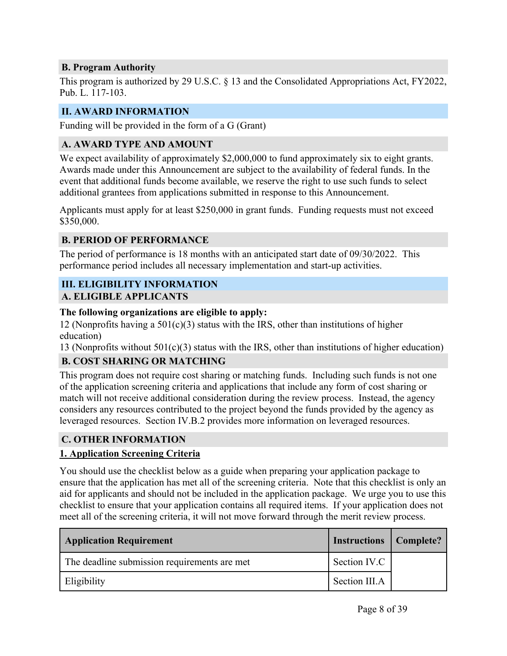#### <span id="page-8-0"></span>**B. Program Authority**

This program is authorized by 29 U.S.C. § 13 and the Consolidated Appropriations Act, FY2022, Pub. L. 117-103.

#### <span id="page-8-1"></span>**II. AWARD INFORMATION**

Funding will be provided in the form of a G (Grant)

#### <span id="page-8-2"></span>**A. AWARD TYPE AND AMOUNT**

We expect availability of approximately \$2,000,000 to fund approximately six to eight grants. Awards made under this Announcement are subject to the availability of federal funds. In the event that additional funds become available, we reserve the right to use such funds to select additional grantees from applications submitted in response to this Announcement.

Applicants must apply for at least \$250,000 in grant funds. Funding requests must not exceed \$350,000.

#### <span id="page-8-3"></span>**B. PERIOD OF PERFORMANCE**

The period of performance is 18 months with an anticipated start date of 09/30/2022. This performance period includes all necessary implementation and start-up activities.

# <span id="page-8-4"></span>**III. ELIGIBILITY INFORMATION**

#### <span id="page-8-5"></span>**A. ELIGIBLE APPLICANTS**

#### **The following organizations are eligible to apply:**

12 (Nonprofits having a  $501(c)(3)$  status with the IRS, other than institutions of higher education)

13 (Nonprofits without  $501(c)(3)$  status with the IRS, other than institutions of higher education)

#### <span id="page-8-6"></span>**B. COST SHARING OR MATCHING**

This program does not require cost sharing or matching funds. Including such funds is not one of the application screening criteria and applications that include any form of cost sharing or match will not receive additional consideration during the review process. Instead, the agency considers any resources contributed to the project beyond the funds provided by the agency as leveraged resources. Section IV.B.2 provides more information on leveraged resources.

#### <span id="page-8-7"></span>**C. OTHER INFORMATION**

#### **1. Application Screening Criteria**

You should use the checklist below as a guide when preparing your application package to ensure that the application has met all of the screening criteria. Note that this checklist is only an aid for applicants and should not be included in the application package. We urge you to use this checklist to ensure that your application contains all required items. If your application does not meet all of the screening criteria, it will not move forward through the merit review process.

| <b>Application Requirement</b>               | <b>Instructions</b> | Complete? |
|----------------------------------------------|---------------------|-----------|
| The deadline submission requirements are met | Section IV.C        |           |
| Eligibility                                  | Section III.A       |           |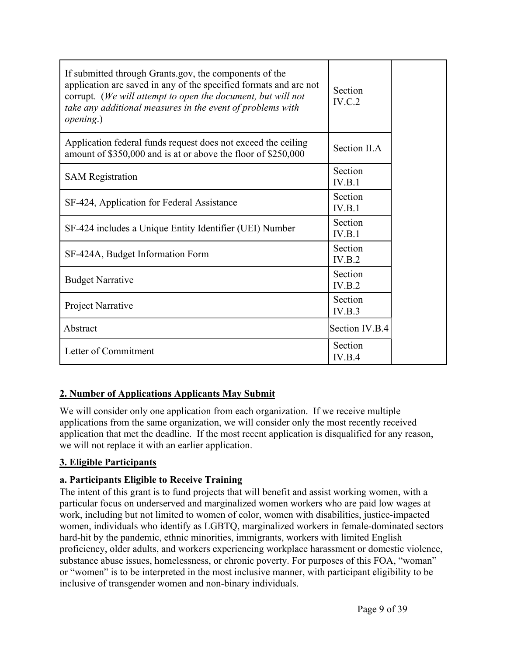| If submitted through Grants gov, the components of the<br>application are saved in any of the specified formats and are not<br>corrupt. (We will attempt to open the document, but will not<br>take any additional measures in the event of problems with<br><i>opening.</i> ) | Section<br>IV.C.2 |  |
|--------------------------------------------------------------------------------------------------------------------------------------------------------------------------------------------------------------------------------------------------------------------------------|-------------------|--|
| Application federal funds request does not exceed the ceiling<br>amount of \$350,000 and is at or above the floor of \$250,000                                                                                                                                                 | Section II.A      |  |
| <b>SAM Registration</b>                                                                                                                                                                                                                                                        | Section<br>IV.B.1 |  |
| SF-424, Application for Federal Assistance                                                                                                                                                                                                                                     | Section<br>IV.B.1 |  |
| SF-424 includes a Unique Entity Identifier (UEI) Number                                                                                                                                                                                                                        | Section<br>IV.B.1 |  |
| SF-424A, Budget Information Form                                                                                                                                                                                                                                               | Section<br>IV.B.2 |  |
| <b>Budget Narrative</b>                                                                                                                                                                                                                                                        | Section<br>IV.B.2 |  |
| Project Narrative                                                                                                                                                                                                                                                              | Section<br>IV.B.3 |  |
| Abstract                                                                                                                                                                                                                                                                       | Section IV.B.4    |  |
| Letter of Commitment                                                                                                                                                                                                                                                           | Section<br>IV.B.4 |  |

# **2. Number of Applications Applicants May Submit**

We will consider only one application from each organization. If we receive multiple applications from the same organization, we will consider only the most recently received application that met the deadline. If the most recent application is disqualified for any reason, we will not replace it with an earlier application.

#### **3. Eligible Participants**

#### **a. Participants Eligible to Receive Training**

The intent of this grant is to fund projects that will benefit and assist working women, with a particular focus on underserved and marginalized women workers who are paid low wages at work, including but not limited to women of color, women with disabilities, justice-impacted women, individuals who identify as LGBTQ, marginalized workers in female-dominated sectors hard-hit by the pandemic, ethnic minorities, immigrants, workers with limited English proficiency, older adults, and workers experiencing workplace harassment or domestic violence, substance abuse issues, homelessness, or chronic poverty. For purposes of this FOA, "woman" or "women" is to be interpreted in the most inclusive manner, with participant eligibility to be inclusive of transgender women and non-binary individuals.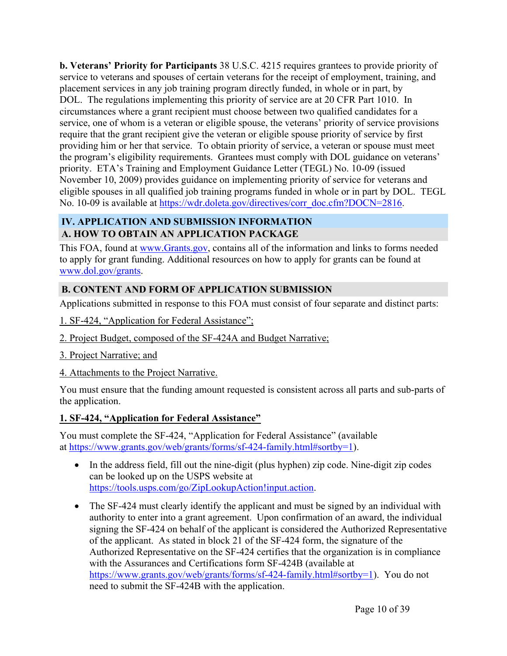**b. Veterans' Priority for Participants** 38 U.S.C. 4215 requires grantees to provide priority of service to veterans and spouses of certain veterans for the receipt of employment, training, and placement services in any job training program directly funded, in whole or in part, by DOL. The regulations implementing this priority of service are at 20 CFR Part 1010. In circumstances where a grant recipient must choose between two qualified candidates for a service, one of whom is a veteran or eligible spouse, the veterans' priority of service provisions require that the grant recipient give the veteran or eligible spouse priority of service by first providing him or her that service. To obtain priority of service, a veteran or spouse must meet the program's eligibility requirements. Grantees must comply with DOL guidance on veterans' priority. ETA's Training and Employment Guidance Letter (TEGL) No. 10-09 (issued November 10, 2009) provides guidance on implementing priority of service for veterans and eligible spouses in all qualified job training programs funded in whole or in part by DOL. TEGL No. 10-09 is available at [https://wdr.doleta.gov/directives/corr\\_doc.cfm?DOCN=2816.](https://wdr.doleta.gov/directives/corr_doc.cfm?DOCN=2816)

# <span id="page-10-1"></span><span id="page-10-0"></span>**IV. APPLICATION AND SUBMISSION INFORMATION A. HOW TO OBTAIN AN APPLICATION PACKAGE**

This FOA, found at [www.Grants.gov,](https://www.grants.gov) contains all of the information and links to forms needed to apply for grant funding. Additional resources on how to apply for grants can be found at [www.dol.gov/grants.](file:///C:/Users/Fraga.Lynn/AppData/Local/Microsoft/Windows/INetCache/Content.Outlook/VMVE58XH/www.dol.gov/grants)

# <span id="page-10-2"></span>**B. CONTENT AND FORM OF APPLICATION SUBMISSION**

Applications submitted in response to this FOA must consist of four separate and distinct parts:

- 1. SF-424, "Application for Federal Assistance";
- 2. Project Budget, composed of the SF-424A and Budget Narrative;
- 3. Project Narrative; and
- 4. Attachments to the Project Narrative.

You must ensure that the funding amount requested is consistent across all parts and sub-parts of the application.

#### **1. SF-424, "Application for Federal Assistance"**

You must complete the SF-424, "Application for Federal Assistance" (available at [https://www.grants.gov/web/grants/forms/sf-424-family.html#sortby=1\)](https://www.grants.gov/web/grants/forms/sf-424-family.html#sortby=1).

- In the address field, fill out the nine-digit (plus hyphen) zip code. Nine-digit zip codes can be looked up on the USPS website at [https://tools.usps.com/go/ZipLookupAction!input.action.](https://tools.usps.com/go/ZipLookupAction!input.action)
- The SF-424 must clearly identify the applicant and must be signed by an individual with authority to enter into a grant agreement. Upon confirmation of an award, the individual signing the SF-424 on behalf of the applicant is considered the Authorized Representative of the applicant. As stated in block 21 of the SF-424 form, the signature of the Authorized Representative on the SF-424 certifies that the organization is in compliance with the Assurances and Certifications form SF-424B (available at <https://www.grants.gov/web/grants/forms/sf-424-family.html#sortby=1>). You do not need to submit the SF-424B with the application.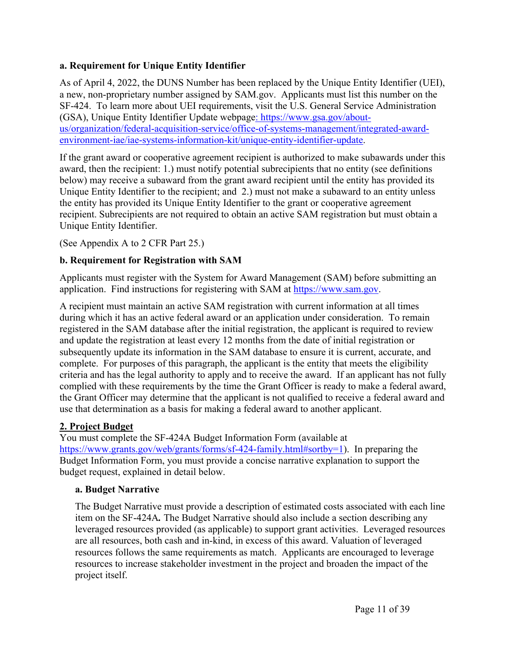#### **a. Requirement for Unique Entity Identifier**

As of April 4, 2022, the DUNS Number has been replaced by the Unique Entity Identifier (UEI), a new, non-proprietary number assigned by SAM.gov. Applicants must list this number on the SF-424. To learn more about UEI requirements, visit the U.S. General Service Administration (GSA), Unique Entity Identifier Update webpage: [https://www.gsa.gov/about](file:///C:/Users/Fraga.Lynn/Downloads/%20https/www.gsa.gov/about-us/organization/federal-acquisition-service/office-of-systems-management/integrated-award-environment-iae/iae-systems-information-kit/unique-entity-identifier-update)[us/organization/federal-acquisition-service/office-of-systems-management/integrated-award](file:///C:/Users/Fraga.Lynn/Downloads/%20https/www.gsa.gov/about-us/organization/federal-acquisition-service/office-of-systems-management/integrated-award-environment-iae/iae-systems-information-kit/unique-entity-identifier-update)[environment-iae/iae-systems-information-kit/unique-entity-identifier-update.](file:///C:/Users/Fraga.Lynn/Downloads/%20https/www.gsa.gov/about-us/organization/federal-acquisition-service/office-of-systems-management/integrated-award-environment-iae/iae-systems-information-kit/unique-entity-identifier-update)

If the grant award or cooperative agreement recipient is authorized to make subawards under this award, then the recipient: 1.) must notify potential subrecipients that no entity (see definitions below) may receive a subaward from the grant award recipient until the entity has provided its Unique Entity Identifier to the recipient; and 2.) must not make a subaward to an entity unless the entity has provided its Unique Entity Identifier to the grant or cooperative agreement recipient. Subrecipients are not required to obtain an active SAM registration but must obtain a Unique Entity Identifier.

(See Appendix A to 2 CFR Part 25.)

#### **b. Requirement for Registration with SAM**

Applicants must register with the System for Award Management (SAM) before submitting an application. Find instructions for registering with SAM at <https://www.sam.gov>.

A recipient must maintain an active SAM registration with current information at all times during which it has an active federal award or an application under consideration. To remain registered in the SAM database after the initial registration, the applicant is required to review and update the registration at least every 12 months from the date of initial registration or subsequently update its information in the SAM database to ensure it is current, accurate, and complete. For purposes of this paragraph, the applicant is the entity that meets the eligibility criteria and has the legal authority to apply and to receive the award. If an applicant has not fully complied with these requirements by the time the Grant Officer is ready to make a federal award, the Grant Officer may determine that the applicant is not qualified to receive a federal award and use that determination as a basis for making a federal award to another applicant.

#### **2. Project Budget**

You must complete the SF-424A Budget Information Form (available at <https://www.grants.gov/web/grants/forms/sf-424-family.html#sortby=1>). In preparing the Budget Information Form, you must provide a concise narrative explanation to support the budget request, explained in detail below.

#### **a. Budget Narrative**

The Budget Narrative must provide a description of estimated costs associated with each line item on the SF-424A*.* The Budget Narrative should also include a section describing any leveraged resources provided (as applicable) to support grant activities. Leveraged resources are all resources, both cash and in-kind, in excess of this award. Valuation of leveraged resources follows the same requirements as match. Applicants are encouraged to leverage resources to increase stakeholder investment in the project and broaden the impact of the project itself.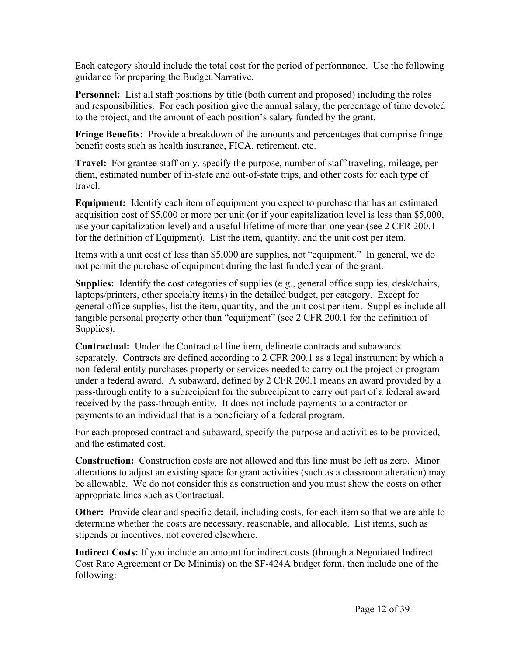Each category should include the total cost for the period of performance. Use the following guidance for preparing the Budget Narrative.

**Personnel:** List all staff positions by title (both current and proposed) including the roles and responsibilities. For each position give the annual salary, the percentage of time devoted to the project, and the amount of each position's salary funded by the grant.

**Fringe Benefits:** Provide a breakdown of the amounts and percentages that comprise fringe benefit costs such as health insurance, FICA, retirement, etc.

**Travel:** For grantee staff only, specify the purpose, number of staff traveling, mileage, per diem, estimated number of in-state and out-of-state trips, and other costs for each type of travel.

**Equipment:** Identify each item of equipment you expect to purchase that has an estimated acquisition cost of \$5,000 or more per unit (or if your capitalization level is less than \$5,000, use your capitalization level) and a useful lifetime of more than one year (see 2 CFR 200.1 for the definition of Equipment). List the item, quantity, and the unit cost per item.

Items with a unit cost of less than \$5,000 are supplies, not "equipment." In general, we do not permit the purchase of equipment during the last funded year of the grant.

**Supplies:** Identify the cost categories of supplies (e.g., general office supplies, desk/chairs, laptops/printers, other specialty items) in the detailed budget, per category. Except for general office supplies, list the item, quantity, and the unit cost per item. Supplies include all tangible personal property other than "equipment" (see 2 CFR 200.1 for the definition of Supplies).

**Contractual:** Under the Contractual line item, delineate contracts and subawards separately. Contracts are defined according to 2 CFR 200.1 as a legal instrument by which a non-federal entity purchases property or services needed to carry out the project or program under a federal award. A subaward, defined by 2 CFR 200.1 means an award provided by a pass-through entity to a subrecipient for the subrecipient to carry out part of a federal award received by the pass-through entity. It does not include payments to a contractor or payments to an individual that is a beneficiary of a federal program.

For each proposed contract and subaward, specify the purpose and activities to be provided, and the estimated cost.

**Construction:** Construction costs are not allowed and this line must be left as zero. Minor alterations to adjust an existing space for grant activities (such as a classroom alteration) may be allowable. We do not consider this as construction and you must show the costs on other appropriate lines such as Contractual.

**Other:** Provide clear and specific detail, including costs, for each item so that we are able to determine whether the costs are necessary, reasonable, and allocable. List items, such as stipends or incentives, not covered elsewhere.

**Indirect Costs:** If you include an amount for indirect costs (through a Negotiated Indirect Cost Rate Agreement or De Minimis) on the SF-424A budget form, then include one of the following: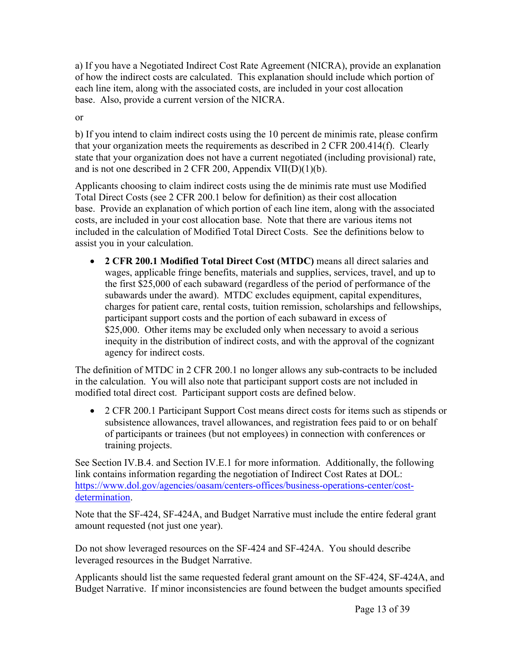a) If you have a Negotiated Indirect Cost Rate Agreement (NICRA), provide an explanation of how the indirect costs are calculated. This explanation should include which portion of each line item, along with the associated costs, are included in your cost allocation base. Also, provide a current version of the NICRA.

or

b) If you intend to claim indirect costs using the 10 percent de minimis rate, please confirm that your organization meets the requirements as described in 2 CFR 200.414(f). Clearly state that your organization does not have a current negotiated (including provisional) rate, and is not one described in 2 CFR 200, Appendix VII(D)(1)(b).

Applicants choosing to claim indirect costs using the de minimis rate must use Modified Total Direct Costs (see 2 CFR 200.1 below for definition) as their cost allocation base. Provide an explanation of which portion of each line item, along with the associated costs, are included in your cost allocation base. Note that there are various items not included in the calculation of Modified Total Direct Costs. See the definitions below to assist you in your calculation.

 **2 CFR 200.1 Modified Total Direct Cost (MTDC)** means all direct salaries and wages, applicable fringe benefits, materials and supplies, services, travel, and up to the first \$25,000 of each subaward (regardless of the period of performance of the subawards under the award). MTDC excludes equipment, capital expenditures, charges for patient care, rental costs, tuition remission, scholarships and fellowships, participant support costs and the portion of each subaward in excess of \$25,000. Other items may be excluded only when necessary to avoid a serious inequity in the distribution of indirect costs, and with the approval of the cognizant agency for indirect costs.

The definition of MTDC in 2 CFR 200.1 no longer allows any sub-contracts to be included in the calculation. You will also note that participant support costs are not included in modified total direct cost. Participant support costs are defined below.

• 2 CFR 200.1 Participant Support Cost means direct costs for items such as stipends or subsistence allowances, travel allowances, and registration fees paid to or on behalf of participants or trainees (but not employees) in connection with conferences or training projects.

See Section IV.B.4. and Section IV.E.1 for more information. Additionally, the following link contains information regarding the negotiation of Indirect Cost Rates at DOL: [https://www.dol.gov/agencies/oasam/centers-offices/business-operations-center/cost](https://www.dol.gov/agencies/oasam/centers-offices/business-operations-center/cost-determination)[determination](https://www.dol.gov/agencies/oasam/centers-offices/business-operations-center/cost-determination).

Note that the SF-424, SF-424A, and Budget Narrative must include the entire federal grant amount requested (not just one year).

Do not show leveraged resources on the SF-424 and SF-424A. You should describe leveraged resources in the Budget Narrative.

Applicants should list the same requested federal grant amount on the SF-424, SF-424A, and Budget Narrative. If minor inconsistencies are found between the budget amounts specified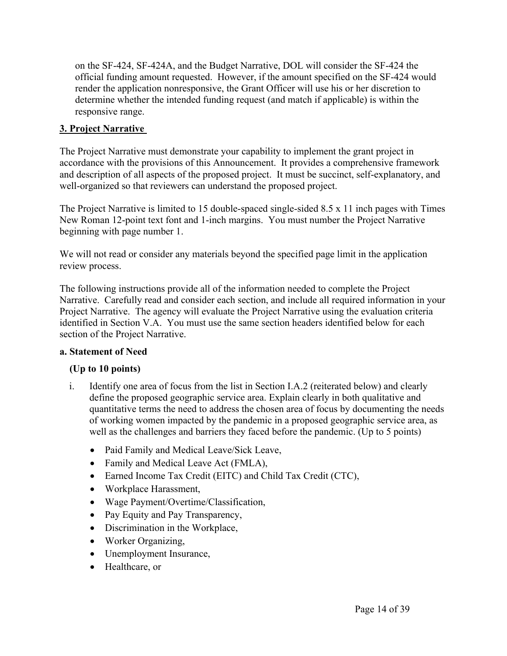on the SF-424, SF-424A, and the Budget Narrative, DOL will consider the SF-424 the official funding amount requested. However, if the amount specified on the SF-424 would render the application nonresponsive, the Grant Officer will use his or her discretion to determine whether the intended funding request (and match if applicable) is within the responsive range.

#### **3. Project Narrative**

The Project Narrative must demonstrate your capability to implement the grant project in accordance with the provisions of this Announcement. It provides a comprehensive framework and description of all aspects of the proposed project. It must be succinct, self-explanatory, and well-organized so that reviewers can understand the proposed project.

The Project Narrative is limited to 15 double-spaced single-sided 8.5 x 11 inch pages with Times New Roman 12-point text font and 1-inch margins. You must number the Project Narrative beginning with page number 1.

We will not read or consider any materials beyond the specified page limit in the application review process.

The following instructions provide all of the information needed to complete the Project Narrative. Carefully read and consider each section, and include all required information in your Project Narrative. The agency will evaluate the Project Narrative using the evaluation criteria identified in Section V.A. You must use the same section headers identified below for each section of the Project Narrative.

#### **a. Statement of Need**

#### **(Up to 10 points)**

- i. Identify one area of focus from the list in Section I.A.2 (reiterated below) and clearly define the proposed geographic service area. Explain clearly in both qualitative and quantitative terms the need to address the chosen area of focus by documenting the needs of working women impacted by the pandemic in a proposed geographic service area, as well as the challenges and barriers they faced before the pandemic. (Up to 5 points)
	- Paid Family and Medical Leave/Sick Leave,
	- Family and Medical Leave Act (FMLA),
	- Earned Income Tax Credit (EITC) and Child Tax Credit (CTC),
	- Workplace Harassment,
	- Wage Payment/Overtime/Classification,
	- Pay Equity and Pay Transparency,
	- Discrimination in the Workplace,
	- Worker Organizing,
	- Unemployment Insurance,
	- Healthcare, or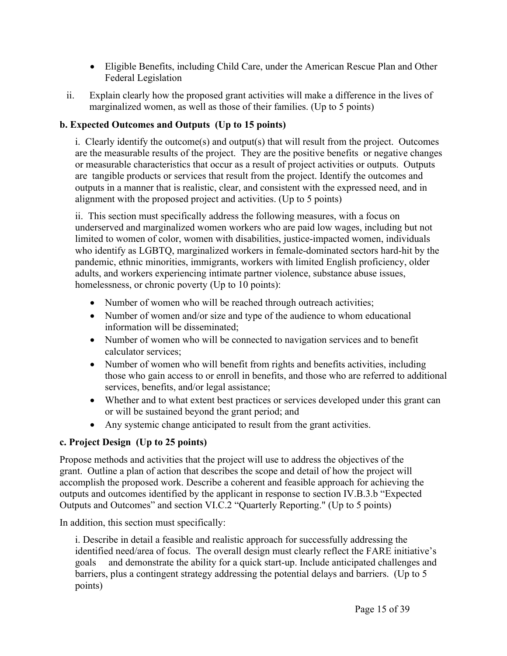- Eligible Benefits, including Child Care, under the American Rescue Plan and Other Federal Legislation
- ii. Explain clearly how the proposed grant activities will make a difference in the lives of marginalized women, as well as those of their families. (Up to 5 points)

# **b. Expected Outcomes and Outputs (Up to 15 points)**

i. Clearly identify the outcome(s) and output(s) that will result from the project. Outcomes are the measurable results of the project. They are the positive benefits or negative changes or measurable characteristics that occur as a result of project activities or outputs. Outputs are tangible products or services that result from the project. Identify the outcomes and outputs in a manner that is realistic, clear, and consistent with the expressed need, and in alignment with the proposed project and activities. (Up to 5 points)

ii. This section must specifically address the following measures, with a focus on underserved and marginalized women workers who are paid low wages, including but not limited to women of color, women with disabilities, justice-impacted women, individuals who identify as LGBTQ, marginalized workers in female-dominated sectors hard-hit by the pandemic, ethnic minorities, immigrants, workers with limited English proficiency, older adults, and workers experiencing intimate partner violence, substance abuse issues, homelessness, or chronic poverty (Up to 10 points):

- Number of women who will be reached through outreach activities;
- Number of women and/or size and type of the audience to whom educational information will be disseminated;
- Number of women who will be connected to navigation services and to benefit calculator services;
- Number of women who will benefit from rights and benefits activities, including those who gain access to or enroll in benefits, and those who are referred to additional services, benefits, and/or legal assistance;
- Whether and to what extent best practices or services developed under this grant can or will be sustained beyond the grant period; and
- Any systemic change anticipated to result from the grant activities.

# **c. Project Design (Up to 25 points)**

Propose methods and activities that the project will use to address the objectives of the grant. Outline a plan of action that describes the scope and detail of how the project will accomplish the proposed work. Describe a coherent and feasible approach for achieving the outputs and outcomes identified by the applicant in response to section IV.B.3.b "Expected Outputs and Outcomes" and section VI.C.2 "Quarterly Reporting." (Up to 5 points)

In addition, this section must specifically:

i. Describe in detail a feasible and realistic approach for successfully addressing the identified need/area of focus. The overall design must clearly reflect the FARE initiative's goals and demonstrate the ability for a quick start-up. Include anticipated challenges and barriers, plus a contingent strategy addressing the potential delays and barriers. (Up to 5 points)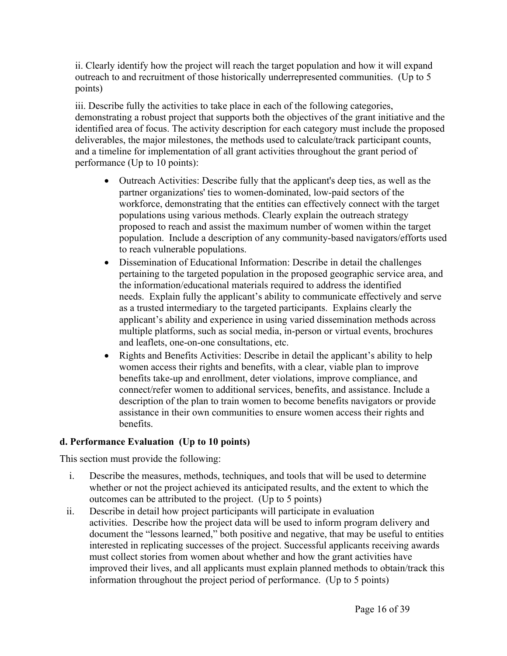ii. Clearly identify how the project will reach the target population and how it will expand outreach to and recruitment of those historically underrepresented communities. (Up to 5 points)

iii. Describe fully the activities to take place in each of the following categories, demonstrating a robust project that supports both the objectives of the grant initiative and the identified area of focus. The activity description for each category must include the proposed deliverables, the major milestones, the methods used to calculate/track participant counts, and a timeline for implementation of all grant activities throughout the grant period of performance (Up to 10 points):

- Outreach Activities: Describe fully that the applicant's deep ties, as well as the partner organizations' ties to women-dominated, low-paid sectors of the workforce, demonstrating that the entities can effectively connect with the target populations using various methods. Clearly explain the outreach strategy proposed to reach and assist the maximum number of women within the target population. Include a description of any community-based navigators/efforts used to reach vulnerable populations.
- Dissemination of Educational Information: Describe in detail the challenges pertaining to the targeted population in the proposed geographic service area, and the information/educational materials required to address the identified needs. Explain fully the applicant's ability to communicate effectively and serve as a trusted intermediary to the targeted participants. Explains clearly the applicant's ability and experience in using varied dissemination methods across multiple platforms, such as social media, in-person or virtual events, brochures and leaflets, one-on-one consultations, etc.
- Rights and Benefits Activities: Describe in detail the applicant's ability to help women access their rights and benefits, with a clear, viable plan to improve benefits take-up and enrollment, deter violations, improve compliance, and connect/refer women to additional services, benefits, and assistance. Include a description of the plan to train women to become benefits navigators or provide assistance in their own communities to ensure women access their rights and benefits.

#### **d. Performance Evaluation (Up to 10 points)**

This section must provide the following:

- i. Describe the measures, methods, techniques, and tools that will be used to determine whether or not the project achieved its anticipated results, and the extent to which the outcomes can be attributed to the project. (Up to 5 points)
- ii. Describe in detail how project participants will participate in evaluation activities. Describe how the project data will be used to inform program delivery and document the "lessons learned," both positive and negative, that may be useful to entities interested in replicating successes of the project. Successful applicants receiving awards must collect stories from women about whether and how the grant activities have improved their lives, and all applicants must explain planned methods to obtain/track this information throughout the project period of performance. (Up to 5 points)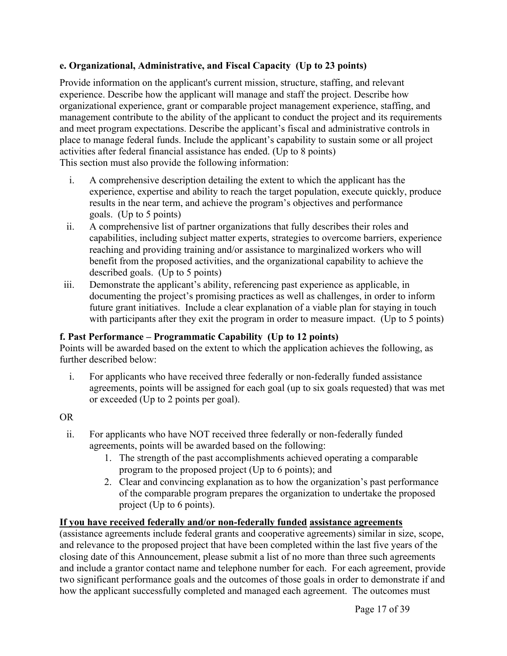#### **e. Organizational, Administrative, and Fiscal Capacity (Up to 23 points)**

Provide information on the applicant's current mission, structure, staffing, and relevant experience. Describe how the applicant will manage and staff the project. Describe how organizational experience, grant or comparable project management experience, staffing, and management contribute to the ability of the applicant to conduct the project and its requirements and meet program expectations. Describe the applicant's fiscal and administrative controls in place to manage federal funds. Include the applicant's capability to sustain some or all project activities after federal financial assistance has ended. (Up to 8 points) This section must also provide the following information:

- i. A comprehensive description detailing the extent to which the applicant has the experience, expertise and ability to reach the target population, execute quickly, produce results in the near term, and achieve the program's objectives and performance goals. (Up to 5 points)
- ii. A comprehensive list of partner organizations that fully describes their roles and capabilities, including subject matter experts, strategies to overcome barriers, experience reaching and providing training and/or assistance to marginalized workers who will benefit from the proposed activities, and the organizational capability to achieve the described goals. (Up to 5 points)
- iii. Demonstrate the applicant's ability, referencing past experience as applicable, in documenting the project's promising practices as well as challenges, in order to inform future grant initiatives. Include a clear explanation of a viable plan for staying in touch with participants after they exit the program in order to measure impact. (Up to 5 points)

#### **f. Past Performance – Programmatic Capability (Up to 12 points)**

Points will be awarded based on the extent to which the application achieves the following, as further described below:

i. For applicants who have received three federally or non-federally funded assistance agreements, points will be assigned for each goal (up to six goals requested) that was met or exceeded (Up to 2 points per goal).

#### OR

- ii. For applicants who have NOT received three federally or non-federally funded agreements, points will be awarded based on the following:
	- 1. The strength of the past accomplishments achieved operating a comparable program to the proposed project (Up to 6 points); and
	- 2. Clear and convincing explanation as to how the organization's past performance of the comparable program prepares the organization to undertake the proposed project (Up to 6 points).

#### **If you have received federally and/or non-federally funded assistance agreements**

(assistance agreements include federal grants and cooperative agreements) similar in size, scope, and relevance to the proposed project that have been completed within the last five years of the closing date of this Announcement, please submit a list of no more than three such agreements and include a grantor contact name and telephone number for each. For each agreement, provide two significant performance goals and the outcomes of those goals in order to demonstrate if and how the applicant successfully completed and managed each agreement. The outcomes must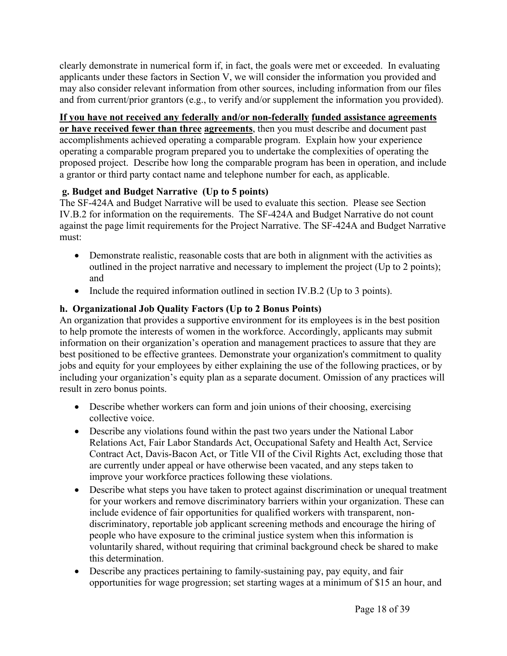clearly demonstrate in numerical form if, in fact, the goals were met or exceeded. In evaluating applicants under these factors in Section V, we will consider the information you provided and may also consider relevant information from other sources, including information from our files and from current/prior grantors (e.g., to verify and/or supplement the information you provided).

#### **If you have not received any federally and/or non-federally funded assistance agreements**

**or have received fewer than three agreements**, then you must describe and document past accomplishments achieved operating a comparable program. Explain how your experience operating a comparable program prepared you to undertake the complexities of operating the proposed project. Describe how long the comparable program has been in operation, and include a grantor or third party contact name and telephone number for each, as applicable.

#### **g. Budget and Budget Narrative (Up to 5 points)**

The SF-424A and Budget Narrative will be used to evaluate this section. Please see Section IV.B.2 for information on the requirements. The SF-424A and Budget Narrative do not count against the page limit requirements for the Project Narrative. The SF-424A and Budget Narrative must:

- Demonstrate realistic, reasonable costs that are both in alignment with the activities as outlined in the project narrative and necessary to implement the project (Up to 2 points); and
- Include the required information outlined in section IV.B.2 (Up to 3 points).

#### **h. Organizational Job Quality Factors (Up to 2 Bonus Points)**

An organization that provides a supportive environment for its employees is in the best position to help promote the interests of women in the workforce. Accordingly, applicants may submit information on their organization's operation and management practices to assure that they are best positioned to be effective grantees. Demonstrate your organization's commitment to quality jobs and equity for your employees by either explaining the use of the following practices, or by including your organization's equity plan as a separate document. Omission of any practices will result in zero bonus points.

- Describe whether workers can form and join unions of their choosing, exercising collective voice.
- Describe any violations found within the past two years under the National Labor Relations Act, Fair Labor Standards Act, Occupational Safety and Health Act, Service Contract Act, Davis-Bacon Act, or Title VII of the Civil Rights Act, excluding those that are currently under appeal or have otherwise been vacated, and any steps taken to improve your workforce practices following these violations.
- Describe what steps you have taken to protect against discrimination or unequal treatment for your workers and remove discriminatory barriers within your organization. These can include evidence of fair opportunities for qualified workers with transparent, nondiscriminatory, reportable job applicant screening methods and encourage the hiring of people who have exposure to the criminal justice system when this information is voluntarily shared, without requiring that criminal background check be shared to make this determination.
- Describe any practices pertaining to family-sustaining pay, pay equity, and fair opportunities for wage progression; set starting wages at a minimum of \$15 an hour, and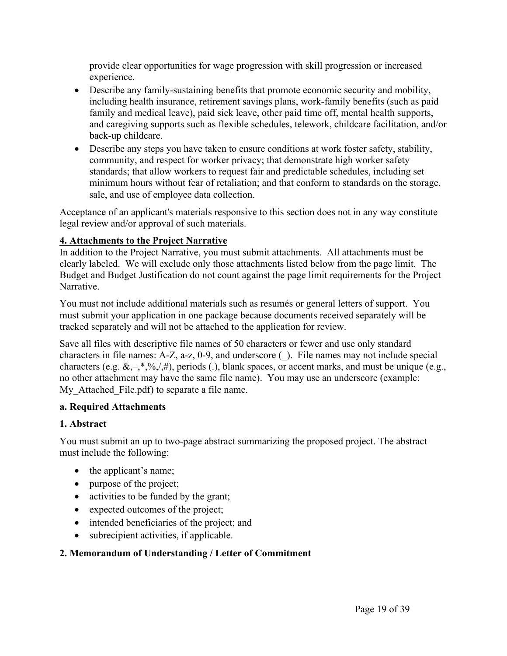provide clear opportunities for wage progression with skill progression or increased experience.

- Describe any family-sustaining benefits that promote economic security and mobility, including health insurance, retirement savings plans, work-family benefits (such as paid family and medical leave), paid sick leave, other paid time off, mental health supports, and caregiving supports such as flexible schedules, telework, childcare facilitation, and/or back-up childcare.
- Describe any steps you have taken to ensure conditions at work foster safety, stability, community, and respect for worker privacy; that demonstrate high worker safety standards; that allow workers to request fair and predictable schedules, including set minimum hours without fear of retaliation; and that conform to standards on the storage, sale, and use of employee data collection.

Acceptance of an applicant's materials responsive to this section does not in any way constitute legal review and/or approval of such materials.

# **4. Attachments to the Project Narrative**

In addition to the Project Narrative, you must submit attachments. All attachments must be clearly labeled. We will exclude only those attachments listed below from the page limit. The Budget and Budget Justification do not count against the page limit requirements for the Project Narrative.

You must not include additional materials such as resumés or general letters of support. You must submit your application in one package because documents received separately will be tracked separately and will not be attached to the application for review.

Save all files with descriptive file names of 50 characters or fewer and use only standard characters in file names: A-Z, a-z, 0-9, and underscore (\_). File names may not include special characters (e.g.  $\& -$ ,\*,%,/,#), periods (.), blank spaces, or accent marks, and must be unique (e.g., no other attachment may have the same file name). You may use an underscore (example: My Attached File.pdf) to separate a file name.

#### **a. Required Attachments**

#### **1. Abstract**

You must submit an up to two-page abstract summarizing the proposed project. The abstract must include the following:

- $\bullet$  the applicant's name;
- purpose of the project;
- activities to be funded by the grant;
- expected outcomes of the project;
- intended beneficiaries of the project; and
- subrecipient activities, if applicable.

#### **2. Memorandum of Understanding / Letter of Commitment**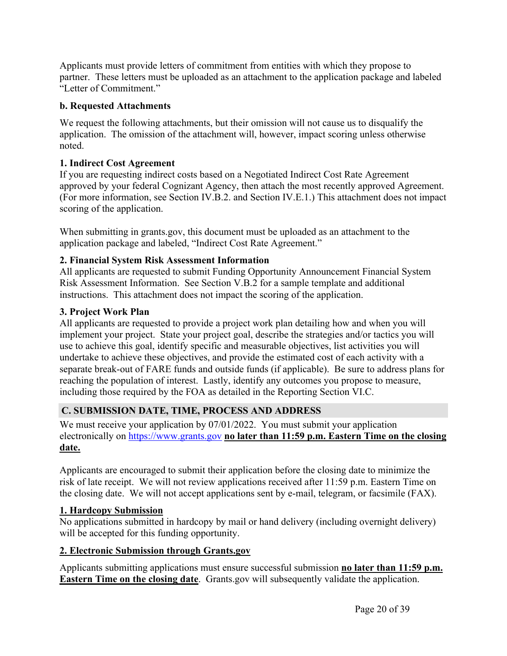Applicants must provide letters of commitment from entities with which they propose to partner. These letters must be uploaded as an attachment to the application package and labeled "Letter of Commitment."

#### **b. Requested Attachments**

We request the following attachments, but their omission will not cause us to disqualify the application. The omission of the attachment will, however, impact scoring unless otherwise noted.

#### **1. Indirect Cost Agreement**

If you are requesting indirect costs based on a Negotiated Indirect Cost Rate Agreement approved by your federal Cognizant Agency, then attach the most recently approved Agreement. (For more information, see Section IV.B.2. and Section IV.E.1.) This attachment does not impact scoring of the application.

When submitting in grants.gov, this document must be uploaded as an attachment to the application package and labeled, "Indirect Cost Rate Agreement."

#### **2. Financial System Risk Assessment Information**

All applicants are requested to submit Funding Opportunity Announcement Financial System Risk Assessment Information. See Section V.B.2 for a sample template and additional instructions. This attachment does not impact the scoring of the application.

#### **3. Project Work Plan**

All applicants are requested to provide a project work plan detailing how and when you will implement your project. State your project goal, describe the strategies and/or tactics you will use to achieve this goal, identify specific and measurable objectives, list activities you will undertake to achieve these objectives, and provide the estimated cost of each activity with a separate break-out of FARE funds and outside funds (if applicable). Be sure to address plans for reaching the population of interest. Lastly, identify any outcomes you propose to measure, including those required by the FOA as detailed in the Reporting Section VI.C.

#### <span id="page-20-0"></span>**C. SUBMISSION DATE, TIME, PROCESS AND ADDRESS**

We must receive your application by 07/01/2022. You must submit your application electronically on <https://www.grants.gov> **no later than 11:59 p.m. Eastern Time on the closing date.**

Applicants are encouraged to submit their application before the closing date to minimize the risk of late receipt. We will not review applications received after 11:59 p.m. Eastern Time on the closing date. We will not accept applications sent by e-mail, telegram, or facsimile (FAX).

#### **1. Hardcopy Submission**

No applications submitted in hardcopy by mail or hand delivery (including overnight delivery) will be accepted for this funding opportunity.

#### **2. Electronic Submission through Grants.gov**

Applicants submitting applications must ensure successful submission **no later than 11:59 p.m. Eastern Time on the closing date**. Grants.gov will subsequently validate the application.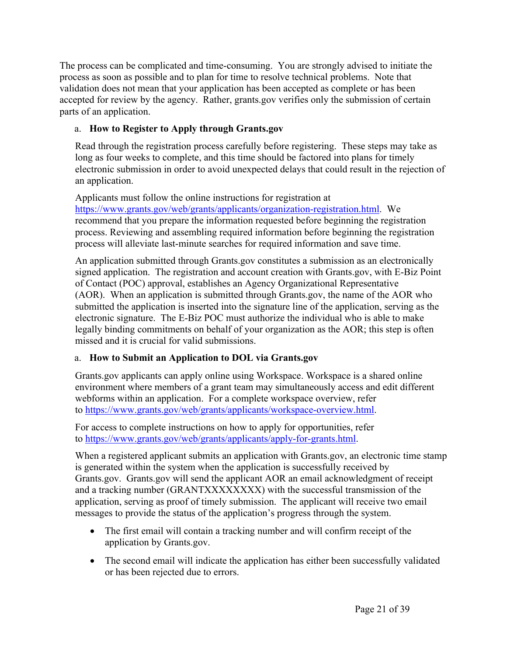The process can be complicated and time-consuming. You are strongly advised to initiate the process as soon as possible and to plan for time to resolve technical problems. Note that validation does not mean that your application has been accepted as complete or has been accepted for review by the agency. Rather, grants.gov verifies only the submission of certain parts of an application.

# a. **How to Register to Apply through Grants.gov**

Read through the registration process carefully before registering. These steps may take as long as four weeks to complete, and this time should be factored into plans for timely electronic submission in order to avoid unexpected delays that could result in the rejection of an application.

Applicants must follow the online instructions for registration at <https://www.grants.gov/web/grants/applicants/organization-registration.html>. We recommend that you prepare the information requested before beginning the registration process. Reviewing and assembling required information before beginning the registration process will alleviate last-minute searches for required information and save time.

An application submitted through Grants.gov constitutes a submission as an electronically signed application. The registration and account creation with Grants.gov, with E-Biz Point of Contact (POC) approval, establishes an Agency Organizational Representative (AOR). When an application is submitted through Grants.gov, the name of the AOR who submitted the application is inserted into the signature line of the application, serving as the electronic signature. The E-Biz POC must authorize the individual who is able to make legally binding commitments on behalf of your organization as the AOR; this step is often missed and it is crucial for valid submissions.

# a. **How to Submit an Application to DOL via Grants.gov**

Grants.gov applicants can apply online using Workspace. Workspace is a shared online environment where members of a grant team may simultaneously access and edit different webforms within an application. For a complete workspace overview, refer to <https://www.grants.gov/web/grants/applicants/workspace-overview.html>.

For access to complete instructions on how to apply for opportunities, refer to <https://www.grants.gov/web/grants/applicants/apply-for-grants.html>.

When a registered applicant submits an application with Grants.gov, an electronic time stamp is generated within the system when the application is successfully received by Grants.gov. Grants.gov will send the applicant AOR an email acknowledgment of receipt and a tracking number (GRANTXXXXXXXX) with the successful transmission of the application, serving as proof of timely submission. The applicant will receive two email messages to provide the status of the application's progress through the system.

- The first email will contain a tracking number and will confirm receipt of the application by Grants.gov.
- The second email will indicate the application has either been successfully validated or has been rejected due to errors.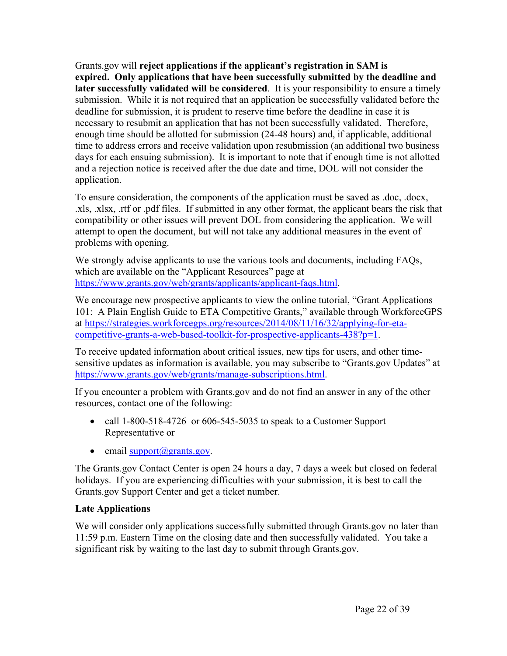Grants.gov will **reject applications if the applicant's registration in SAM is expired. Only applications that have been successfully submitted by the deadline and later successfully validated will be considered**. It is your responsibility to ensure a timely submission. While it is not required that an application be successfully validated before the deadline for submission, it is prudent to reserve time before the deadline in case it is necessary to resubmit an application that has not been successfully validated. Therefore, enough time should be allotted for submission (24-48 hours) and, if applicable, additional time to address errors and receive validation upon resubmission (an additional two business days for each ensuing submission). It is important to note that if enough time is not allotted and a rejection notice is received after the due date and time, DOL will not consider the application.

To ensure consideration, the components of the application must be saved as .doc, .docx, .xls, .xlsx, .rtf or .pdf files. If submitted in any other format, the applicant bears the risk that compatibility or other issues will prevent DOL from considering the application. We will attempt to open the document, but will not take any additional measures in the event of problems with opening.

We strongly advise applicants to use the various tools and documents, including FAQs, which are available on the "Applicant Resources" page at [https://www.grants.gov/web/grants/applicants/applicant-faqs.html.](https://www.grants.gov/web/grants/applicants/applicant-faqs.html)

We encourage new prospective applicants to view the online tutorial, "Grant Applications 101: A Plain English Guide to ETA Competitive Grants," available through WorkforceGPS at [https://strategies.workforcegps.org/resources/2014/08/11/16/32/applying-for-eta](https://strategies.workforcegps.org/resources/2014/08/11/16/32/applying-for-eta-competitive-grants-a-web-based-toolkit-for-prospective-applicants-438?p=1)[competitive-grants-a-web-based-toolkit-for-prospective-applicants-438?p=1.](https://strategies.workforcegps.org/resources/2014/08/11/16/32/applying-for-eta-competitive-grants-a-web-based-toolkit-for-prospective-applicants-438?p=1)

To receive updated information about critical issues, new tips for users, and other timesensitive updates as information is available, you may subscribe to "Grants.gov Updates" at <https://www.grants.gov/web/grants/manage-subscriptions.html>.

If you encounter a problem with Grants.gov and do not find an answer in any of the other resources, contact one of the following:

- call 1-800-518-4726 or 606-545-5035 to speak to a Customer Support Representative or
- $\bullet$  email support $(\partial \text{grams.gov})$ .

The Grants.gov Contact Center is open 24 hours a day, 7 days a week but closed on federal holidays. If you are experiencing difficulties with your submission, it is best to call the Grants.gov Support Center and get a ticket number.

#### **Late Applications**

We will consider only applications successfully submitted through Grants.gov no later than 11:59 p.m. Eastern Time on the closing date and then successfully validated. You take a significant risk by waiting to the last day to submit through Grants.gov.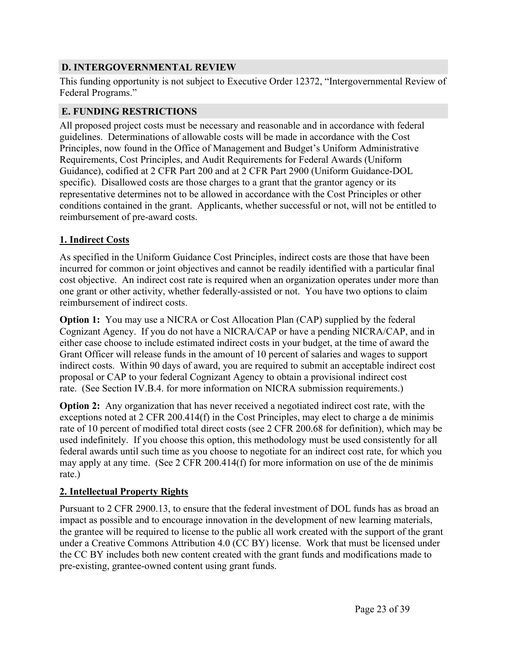# <span id="page-23-0"></span>**D. INTERGOVERNMENTAL REVIEW**

This funding opportunity is not subject to Executive Order 12372, "Intergovernmental Review of Federal Programs."

# <span id="page-23-1"></span>**E. FUNDING RESTRICTIONS**

All proposed project costs must be necessary and reasonable and in accordance with federal guidelines. Determinations of allowable costs will be made in accordance with the Cost Principles, now found in the Office of Management and Budget's Uniform Administrative Requirements, Cost Principles, and Audit Requirements for Federal Awards (Uniform Guidance), codified at 2 CFR Part 200 and at 2 CFR Part 2900 (Uniform Guidance-DOL specific). Disallowed costs are those charges to a grant that the grantor agency or its representative determines not to be allowed in accordance with the Cost Principles or other conditions contained in the grant. Applicants, whether successful or not, will not be entitled to reimbursement of pre-award costs.

# **1. Indirect Costs**

As specified in the Uniform Guidance Cost Principles, indirect costs are those that have been incurred for common or joint objectives and cannot be readily identified with a particular final cost objective. An indirect cost rate is required when an organization operates under more than one grant or other activity, whether federally-assisted or not. You have two options to claim reimbursement of indirect costs.

**Option 1:** You may use a NICRA or Cost Allocation Plan (CAP) supplied by the federal Cognizant Agency. If you do not have a NICRA/CAP or have a pending NICRA/CAP, and in either case choose to include estimated indirect costs in your budget, at the time of award the Grant Officer will release funds in the amount of 10 percent of salaries and wages to support indirect costs. Within 90 days of award, you are required to submit an acceptable indirect cost proposal or CAP to your federal Cognizant Agency to obtain a provisional indirect cost rate. (See Section IV.B.4. for more information on NICRA submission requirements.)

**Option 2:** Any organization that has never received a negotiated indirect cost rate, with the exceptions noted at 2 CFR 200.414(f) in the Cost Principles, may elect to charge a de minimis rate of 10 percent of modified total direct costs (see 2 CFR 200.68 for definition), which may be used indefinitely. If you choose this option, this methodology must be used consistently for all federal awards until such time as you choose to negotiate for an indirect cost rate, for which you may apply at any time. (See 2 CFR 200.414(f) for more information on use of the de minimis rate.)

# **2. Intellectual Property Rights**

Pursuant to 2 CFR 2900.13, to ensure that the federal investment of DOL funds has as broad an impact as possible and to encourage innovation in the development of new learning materials, the grantee will be required to license to the public all work created with the support of the grant under a Creative Commons Attribution 4.0 (CC BY) license. Work that must be licensed under the CC BY includes both new content created with the grant funds and modifications made to pre-existing, grantee-owned content using grant funds.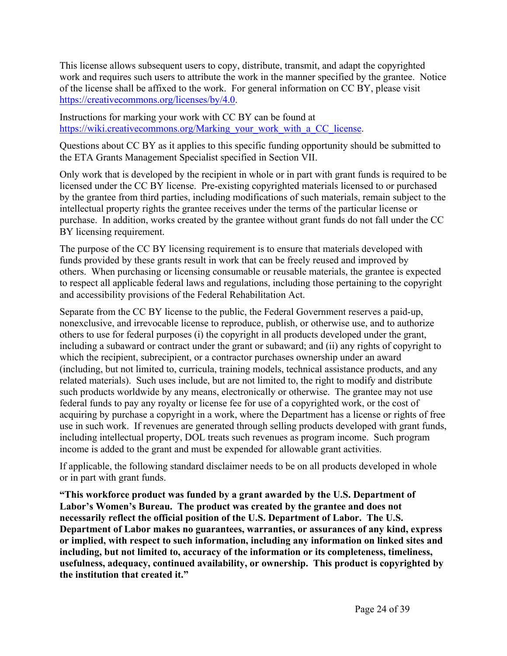This license allows subsequent users to copy, distribute, transmit, and adapt the copyrighted work and requires such users to attribute the work in the manner specified by the grantee. Notice of the license shall be affixed to the work. For general information on CC BY, please visit [https://creativecommons.org/licenses/by/4.0.](https://creativecommons.org/licenses/by/4.0)

Instructions for marking your work with CC BY can be found at [https://wiki.creativecommons.org/Marking\\_your\\_work\\_with\\_a\\_CC\\_license.](https://wiki.creativecommons.org/Marking_your_work_with_a_CC_license)

Questions about CC BY as it applies to this specific funding opportunity should be submitted to the ETA Grants Management Specialist specified in Section VII.

Only work that is developed by the recipient in whole or in part with grant funds is required to be licensed under the CC BY license. Pre-existing copyrighted materials licensed to or purchased by the grantee from third parties, including modifications of such materials, remain subject to the intellectual property rights the grantee receives under the terms of the particular license or purchase. In addition, works created by the grantee without grant funds do not fall under the CC BY licensing requirement.

The purpose of the CC BY licensing requirement is to ensure that materials developed with funds provided by these grants result in work that can be freely reused and improved by others. When purchasing or licensing consumable or reusable materials, the grantee is expected to respect all applicable federal laws and regulations, including those pertaining to the copyright and accessibility provisions of the Federal Rehabilitation Act.

Separate from the CC BY license to the public, the Federal Government reserves a paid-up, nonexclusive, and irrevocable license to reproduce, publish, or otherwise use, and to authorize others to use for federal purposes (i) the copyright in all products developed under the grant, including a subaward or contract under the grant or subaward; and (ii) any rights of copyright to which the recipient, subrecipient, or a contractor purchases ownership under an award (including, but not limited to, curricula, training models, technical assistance products, and any related materials). Such uses include, but are not limited to, the right to modify and distribute such products worldwide by any means, electronically or otherwise. The grantee may not use federal funds to pay any royalty or license fee for use of a copyrighted work, or the cost of acquiring by purchase a copyright in a work, where the Department has a license or rights of free use in such work. If revenues are generated through selling products developed with grant funds, including intellectual property, DOL treats such revenues as program income. Such program income is added to the grant and must be expended for allowable grant activities.

If applicable, the following standard disclaimer needs to be on all products developed in whole or in part with grant funds.

**"This workforce product was funded by a grant awarded by the U.S. Department of Labor's Women's Bureau. The product was created by the grantee and does not necessarily reflect the official position of the U.S. Department of Labor. The U.S. Department of Labor makes no guarantees, warranties, or assurances of any kind, express or implied, with respect to such information, including any information on linked sites and including, but not limited to, accuracy of the information or its completeness, timeliness, usefulness, adequacy, continued availability, or ownership. This product is copyrighted by the institution that created it."**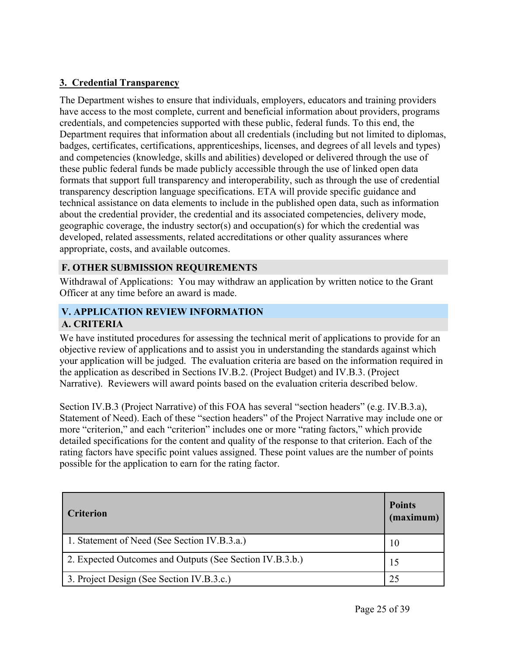#### **3. Credential Transparency**

The Department wishes to ensure that individuals, employers, educators and training providers have access to the most complete, current and beneficial information about providers, programs credentials, and competencies supported with these public, federal funds. To this end, the Department requires that information about all credentials (including but not limited to diplomas, badges, certificates, certifications, apprenticeships, licenses, and degrees of all levels and types) and competencies (knowledge, skills and abilities) developed or delivered through the use of these public federal funds be made publicly accessible through the use of linked open data formats that support full transparency and interoperability, such as through the use of credential transparency description language specifications. ETA will provide specific guidance and technical assistance on data elements to include in the published open data, such as information about the credential provider, the credential and its associated competencies, delivery mode, geographic coverage, the industry sector(s) and occupation(s) for which the credential was developed, related assessments, related accreditations or other quality assurances where appropriate, costs, and available outcomes.

#### <span id="page-25-0"></span>**F. OTHER SUBMISSION REQUIREMENTS**

Withdrawal of Applications: You may withdraw an application by written notice to the Grant Officer at any time before an award is made.

#### <span id="page-25-2"></span><span id="page-25-1"></span>**V. APPLICATION REVIEW INFORMATION A. CRITERIA**

We have instituted procedures for assessing the technical merit of applications to provide for an objective review of applications and to assist you in understanding the standards against which your application will be judged. The evaluation criteria are based on the information required in the application as described in Sections IV.B.2. (Project Budget) and IV.B.3. (Project Narrative). Reviewers will award points based on the evaluation criteria described below.

Section IV.B.3 (Project Narrative) of this FOA has several "section headers" (e.g. IV.B.3.a), Statement of Need). Each of these "section headers" of the Project Narrative may include one or more "criterion," and each "criterion" includes one or more "rating factors," which provide detailed specifications for the content and quality of the response to that criterion. Each of the rating factors have specific point values assigned. These point values are the number of points possible for the application to earn for the rating factor.

| <b>Criterion</b>                                         | <b>Points</b><br>(maximum) |
|----------------------------------------------------------|----------------------------|
| 1. Statement of Need (See Section IV.B.3.a.)             | 10                         |
| 2. Expected Outcomes and Outputs (See Section IV.B.3.b.) | 15                         |
| 3. Project Design (See Section IV.B.3.c.)                |                            |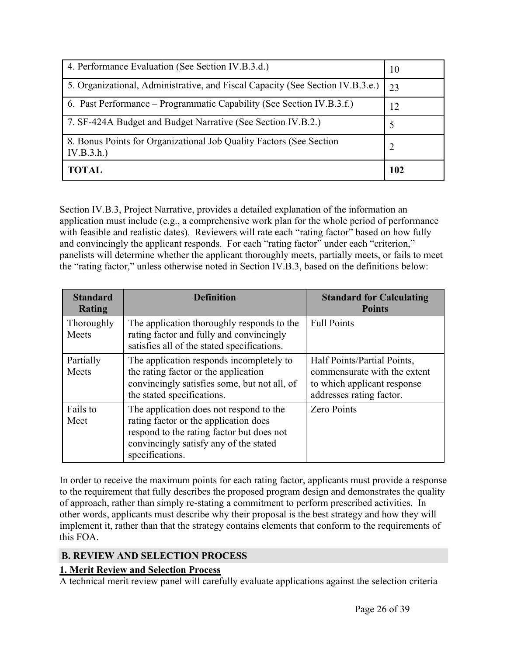| 4. Performance Evaluation (See Section IV.B.3.d.)                                | 10             |
|----------------------------------------------------------------------------------|----------------|
| 5. Organizational, Administrative, and Fiscal Capacity (See Section IV.B.3.e.)   | 23             |
| 6. Past Performance – Programmatic Capability (See Section IV.B.3.f.)            | 12             |
| 7. SF-424A Budget and Budget Narrative (See Section IV.B.2.)                     | Ć              |
| 8. Bonus Points for Organizational Job Quality Factors (See Section<br>IV.B.3.h. | $\overline{2}$ |
| <b>TOTAL</b>                                                                     | 102            |

Section IV.B.3, Project Narrative, provides a detailed explanation of the information an application must include (e.g., a comprehensive work plan for the whole period of performance with feasible and realistic dates). Reviewers will rate each "rating factor" based on how fully and convincingly the applicant responds. For each "rating factor" under each "criterion," panelists will determine whether the applicant thoroughly meets, partially meets, or fails to meet the "rating factor," unless otherwise noted in Section IV.B.3, based on the definitions below:

| <b>Standard</b><br>Rating | <b>Definition</b>                                                                                                                                                                          | <b>Standard for Calculating</b><br><b>Points</b>                                                                       |
|---------------------------|--------------------------------------------------------------------------------------------------------------------------------------------------------------------------------------------|------------------------------------------------------------------------------------------------------------------------|
| Thoroughly<br>Meets       | The application thoroughly responds to the<br>rating factor and fully and convincingly<br>satisfies all of the stated specifications.                                                      | <b>Full Points</b>                                                                                                     |
| Partially<br>Meets        | The application responds incompletely to<br>the rating factor or the application<br>convincingly satisfies some, but not all, of<br>the stated specifications.                             | Half Points/Partial Points,<br>commensurate with the extent<br>to which applicant response<br>addresses rating factor. |
| Fails to<br>Meet          | The application does not respond to the<br>rating factor or the application does<br>respond to the rating factor but does not<br>convincingly satisfy any of the stated<br>specifications. | <b>Zero Points</b>                                                                                                     |

In order to receive the maximum points for each rating factor, applicants must provide a response to the requirement that fully describes the proposed program design and demonstrates the quality of approach, rather than simply re-stating a commitment to perform prescribed activities. In other words, applicants must describe why their proposal is the best strategy and how they will implement it, rather than that the strategy contains elements that conform to the requirements of this FOA.

#### <span id="page-26-0"></span>**B. REVIEW AND SELECTION PROCESS**

#### **1. Merit Review and Selection Process**

A technical merit review panel will carefully evaluate applications against the selection criteria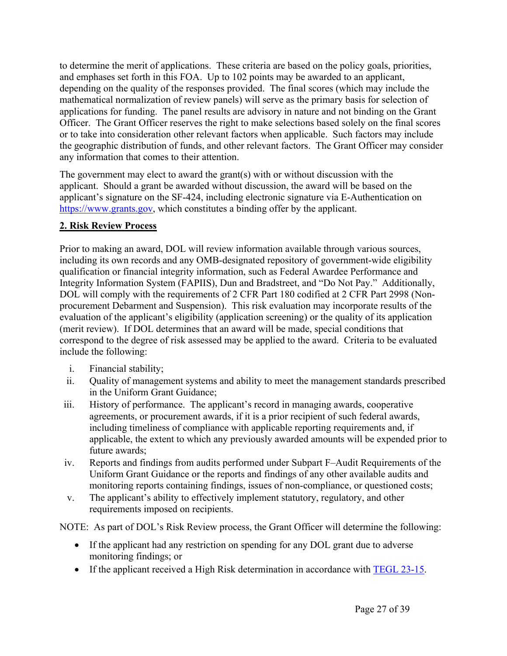to determine the merit of applications. These criteria are based on the policy goals, priorities, and emphases set forth in this FOA. Up to 102 points may be awarded to an applicant, depending on the quality of the responses provided. The final scores (which may include the mathematical normalization of review panels) will serve as the primary basis for selection of applications for funding. The panel results are advisory in nature and not binding on the Grant Officer. The Grant Officer reserves the right to make selections based solely on the final scores or to take into consideration other relevant factors when applicable. Such factors may include the geographic distribution of funds, and other relevant factors. The Grant Officer may consider any information that comes to their attention.

The government may elect to award the grant(s) with or without discussion with the applicant. Should a grant be awarded without discussion, the award will be based on the applicant's signature on the SF-424, including electronic signature via E-Authentication on [https://www.grants.gov,](https://www.grants.gov) which constitutes a binding offer by the applicant.

#### **2. Risk Review Process**

Prior to making an award, DOL will review information available through various sources, including its own records and any OMB-designated repository of government-wide eligibility qualification or financial integrity information, such as Federal Awardee Performance and Integrity Information System (FAPIIS), Dun and Bradstreet, and "Do Not Pay." Additionally, DOL will comply with the requirements of 2 CFR Part 180 codified at 2 CFR Part 2998 (Nonprocurement Debarment and Suspension). This risk evaluation may incorporate results of the evaluation of the applicant's eligibility (application screening) or the quality of its application (merit review). If DOL determines that an award will be made, special conditions that correspond to the degree of risk assessed may be applied to the award. Criteria to be evaluated include the following:

- i. Financial stability;
- ii. Quality of management systems and ability to meet the management standards prescribed in the Uniform Grant Guidance;
- iii. History of performance. The applicant's record in managing awards, cooperative agreements, or procurement awards, if it is a prior recipient of such federal awards, including timeliness of compliance with applicable reporting requirements and, if applicable, the extent to which any previously awarded amounts will be expended prior to future awards;
- iv. Reports and findings from audits performed under Subpart F–Audit Requirements of the Uniform Grant Guidance or the reports and findings of any other available audits and monitoring reports containing findings, issues of non-compliance, or questioned costs;
- v. The applicant's ability to effectively implement statutory, regulatory, and other requirements imposed on recipients.

NOTE: As part of DOL's Risk Review process, the Grant Officer will determine the following:

- If the applicant had any restriction on spending for any DOL grant due to adverse monitoring findings; or
- If the applicant received a High Risk determination in accordance with **[TEGL](https://wdr.doleta.gov/directives/corr_doc.cfm?DOCN=6330) 23-15**.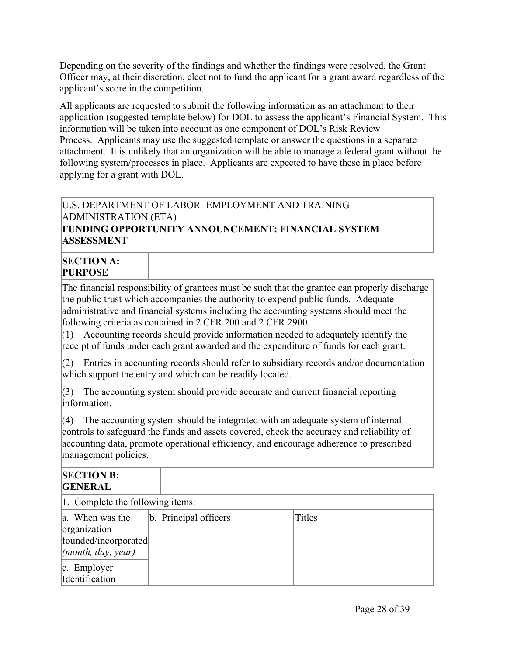Depending on the severity of the findings and whether the findings were resolved, the Grant Officer may, at their discretion, elect not to fund the applicant for a grant award regardless of the applicant's score in the competition.

All applicants are requested to submit the following information as an attachment to their application (suggested template below) for DOL to assess the applicant's Financial System. This information will be taken into account as one component of DOL's Risk Review Process. Applicants may use the suggested template or answer the questions in a separate attachment. It is unlikely that an organization will be able to manage a federal grant without the following system/processes in place. Applicants are expected to have these in place before applying for a grant with DOL.

#### U.S. DEPARTMENT OF LABOR -EMPLOYMENT AND TRAINING ADMINISTRATION (ETA) **FUNDING OPPORTUNITY ANNOUNCEMENT: FINANCIAL SYSTEM**

**ASSESSMENT**

# **SECTION A: PURPOSE**

The financial responsibility of grantees must be such that the grantee can properly discharge the public trust which accompanies the authority to expend public funds. Adequate administrative and financial systems including the accounting systems should meet the following criteria as contained in 2 CFR 200 and 2 CFR 2900.

 $(1)$  Accounting records should provide information needed to adequately identify the receipt of funds under each grant awarded and the expenditure of funds for each grant.

 $(2)$  Entries in accounting records should refer to subsidiary records and/or documentation which support the entry and which can be readily located.

(3) The accounting system should provide accurate and current financial reporting information.

 $(4)$  The accounting system should be integrated with an adequate system of internal controls to safeguard the funds and assets covered, check the accuracy and reliability of accounting data, promote operational efficiency, and encourage adherence to prescribed management policies.

| <b>SECTION B:</b><br><b>GENERAL</b>                                                   |                       |        |  |
|---------------------------------------------------------------------------------------|-----------------------|--------|--|
| 1. Complete the following items:                                                      |                       |        |  |
| a. When was the<br>organization<br>founded/incorporated<br>$\vert$ (month, day, year) | b. Principal officers | Titles |  |
| $ c.$ Employer<br>Identification                                                      |                       |        |  |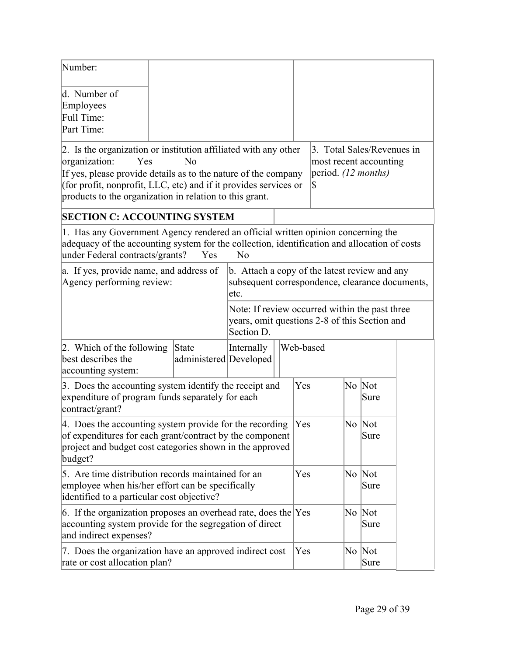| Number:                                                                                                                                                                                                                                                                                  |  |                                 |                                                                                                               |                |                |                     |                                                      |  |
|------------------------------------------------------------------------------------------------------------------------------------------------------------------------------------------------------------------------------------------------------------------------------------------|--|---------------------------------|---------------------------------------------------------------------------------------------------------------|----------------|----------------|---------------------|------------------------------------------------------|--|
| d. Number of<br>Employees<br>Full Time:<br>Part Time:                                                                                                                                                                                                                                    |  |                                 |                                                                                                               |                |                |                     |                                                      |  |
| 2. Is the organization or institution affiliated with any other<br>organization:<br>Yes<br>If yes, please provide details as to the nature of the company<br>(for profit, nonprofit, LLC, etc) and if it provides services or<br>products to the organization in relation to this grant. |  | Nο                              |                                                                                                               |                | S              | period. (12 months) | 3. Total Sales/Revenues in<br>most recent accounting |  |
| <b>SECTION C: ACCOUNTING SYSTEM</b>                                                                                                                                                                                                                                                      |  |                                 |                                                                                                               |                |                |                     |                                                      |  |
| 1. Has any Government Agency rendered an official written opinion concerning the<br>adequacy of the accounting system for the collection, identification and allocation of costs<br>under Federal contracts/grants?                                                                      |  | Yes                             | N <sub>0</sub>                                                                                                |                |                |                     |                                                      |  |
| a. If yes, provide name, and address of<br>Agency performing review:                                                                                                                                                                                                                     |  |                                 | b. Attach a copy of the latest review and any<br>subsequent correspondence, clearance documents,<br>etc.      |                |                |                     |                                                      |  |
|                                                                                                                                                                                                                                                                                          |  |                                 | Note: If review occurred within the past three<br>years, omit questions 2-8 of this Section and<br>Section D. |                |                |                     |                                                      |  |
| 2. Which of the following<br>best describes the<br>accounting system:                                                                                                                                                                                                                    |  | State<br>administered Developed | Internally                                                                                                    |                | Web-based      |                     |                                                      |  |
| 3. Does the accounting system identify the receipt and<br>expenditure of program funds separately for each<br>contract/grant?                                                                                                                                                            |  |                                 | Yes                                                                                                           |                | No Not<br>Sure |                     |                                                      |  |
| 4. Does the accounting system provide for the recording<br>of expenditures for each grant/contract by the component<br>project and budget cost categories shown in the approved<br>budget?                                                                                               |  |                                 | Yes                                                                                                           |                | No Not<br>Sure |                     |                                                      |  |
| 5. Are time distribution records maintained for an<br>employee when his/her effort can be specifically<br>identified to a particular cost objective?                                                                                                                                     |  |                                 | Yes                                                                                                           |                | No Not<br>Sure |                     |                                                      |  |
| 6. If the organization proposes an overhead rate, does the $ Yes $<br>accounting system provide for the segregation of direct<br>and indirect expenses?                                                                                                                                  |  |                                 |                                                                                                               | No Not<br>Sure |                |                     |                                                      |  |
| 7. Does the organization have an approved indirect cost<br>rate or cost allocation plan?                                                                                                                                                                                                 |  | Yes                             |                                                                                                               | No Not<br>Sure |                |                     |                                                      |  |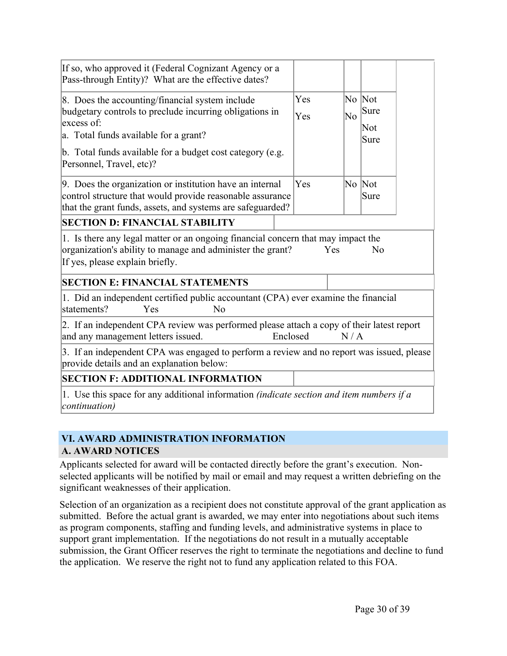| If so, who approved it (Federal Cognizant Agency or a<br>Pass-through Entity)? What are the effective dates?                                                                                                                                                                                                           |                   |                |                                         |  |
|------------------------------------------------------------------------------------------------------------------------------------------------------------------------------------------------------------------------------------------------------------------------------------------------------------------------|-------------------|----------------|-----------------------------------------|--|
| 8. Does the accounting/financial system include<br>budgetary controls to preclude incurring obligations in<br>excess of:<br>a. Total funds available for a grant?<br>b. Total funds available for a budget cost category (e.g.<br>Personnel, Travel, etc)?<br>9. Does the organization or institution have an internal | Yes<br>Yes<br>Yes | N <sub>0</sub> | No Not<br>Sure<br>Not<br>Sure<br>No Not |  |
| control structure that would provide reasonable assurance<br>that the grant funds, assets, and systems are safeguarded?                                                                                                                                                                                                |                   |                | Sure                                    |  |
| <b>SECTION D: FINANCIAL STABILITY</b>                                                                                                                                                                                                                                                                                  |                   |                |                                         |  |
| 1. Is there any legal matter or an ongoing financial concern that may impact the<br>organization's ability to manage and administer the grant?<br>If yes, please explain briefly.                                                                                                                                      |                   | Yes            | No                                      |  |
| <b>SECTION E: FINANCIAL STATEMENTS</b>                                                                                                                                                                                                                                                                                 |                   |                |                                         |  |
| 1. Did an independent certified public accountant (CPA) ever examine the financial<br>statements?<br>Yes<br>No                                                                                                                                                                                                         |                   |                |                                         |  |
| 2. If an independent CPA review was performed please attach a copy of their latest report<br>and any management letters issued.<br>Enclosed                                                                                                                                                                            |                   | N/A            |                                         |  |
| 3. If an independent CPA was engaged to perform a review and no report was issued, please<br>provide details and an explanation below:                                                                                                                                                                                 |                   |                |                                         |  |
| <b>SECTION F: ADDITIONAL INFORMATION</b>                                                                                                                                                                                                                                                                               |                   |                |                                         |  |
| 1. Use this space for any additional information <i>(indicate section and item numbers if a</i><br>continuation)                                                                                                                                                                                                       |                   |                |                                         |  |

# <span id="page-30-1"></span><span id="page-30-0"></span>**VI. AWARD ADMINISTRATION INFORMATION A. AWARD NOTICES**

Applicants selected for award will be contacted directly before the grant's execution. Nonselected applicants will be notified by mail or email and may request a written debriefing on the significant weaknesses of their application.

Selection of an organization as a recipient does not constitute approval of the grant application as submitted. Before the actual grant is awarded, we may enter into negotiations about such items as program components, staffing and funding levels, and administrative systems in place to support grant implementation. If the negotiations do not result in a mutually acceptable submission, the Grant Officer reserves the right to terminate the negotiations and decline to fund the application. We reserve the right not to fund any application related to this FOA.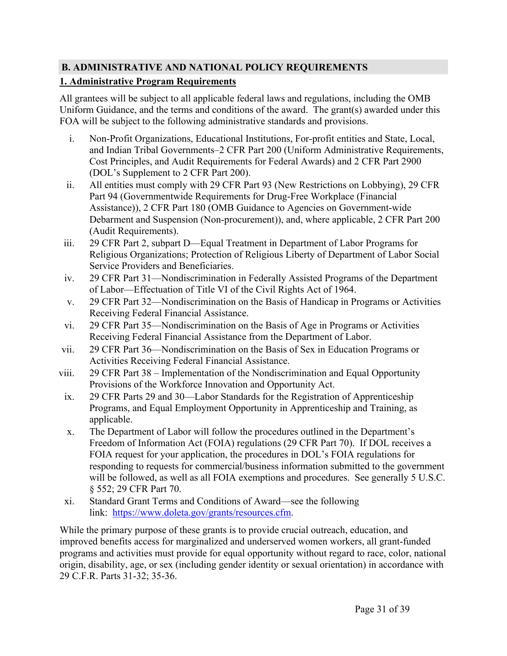# <span id="page-31-0"></span>**B. ADMINISTRATIVE AND NATIONAL POLICY REQUIREMENTS**

# **1. Administrative Program Requirements**

All grantees will be subject to all applicable federal laws and regulations, including the OMB Uniform Guidance, and the terms and conditions of the award. The grant(s) awarded under this FOA will be subject to the following administrative standards and provisions.

- i. Non-Profit Organizations, Educational Institutions, For-profit entities and State, Local, and Indian Tribal Governments–2 CFR Part 200 (Uniform Administrative Requirements, Cost Principles, and Audit Requirements for Federal Awards) and 2 CFR Part 2900 (DOL's Supplement to 2 CFR Part 200).
- ii. All entities must comply with 29 CFR Part 93 (New Restrictions on Lobbying), 29 CFR Part 94 (Governmentwide Requirements for Drug-Free Workplace (Financial Assistance)), 2 CFR Part 180 (OMB Guidance to Agencies on Government-wide Debarment and Suspension (Non-procurement)), and, where applicable, 2 CFR Part 200 (Audit Requirements).
- iii. 29 CFR Part 2, subpart D—Equal Treatment in Department of Labor Programs for Religious Organizations; Protection of Religious Liberty of Department of Labor Social Service Providers and Beneficiaries.
- iv. 29 CFR Part 31—Nondiscrimination in Federally Assisted Programs of the Department of Labor—Effectuation of Title VI of the Civil Rights Act of 1964.
- v. 29 CFR Part 32—Nondiscrimination on the Basis of Handicap in Programs or Activities Receiving Federal Financial Assistance.
- vi. 29 CFR Part 35—Nondiscrimination on the Basis of Age in Programs or Activities Receiving Federal Financial Assistance from the Department of Labor.
- vii. 29 CFR Part 36—Nondiscrimination on the Basis of Sex in Education Programs or Activities Receiving Federal Financial Assistance.
- viii. 29 CFR Part 38 Implementation of the Nondiscrimination and Equal Opportunity Provisions of the Workforce Innovation and Opportunity Act.
	- ix. 29 CFR Parts 29 and 30—Labor Standards for the Registration of Apprenticeship Programs, and Equal Employment Opportunity in Apprenticeship and Training, as applicable.
	- x. The Department of Labor will follow the procedures outlined in the Department's Freedom of Information Act (FOIA) regulations (29 CFR Part 70). If DOL receives a FOIA request for your application, the procedures in DOL's FOIA regulations for responding to requests for commercial/business information submitted to the government will be followed, as well as all FOIA exemptions and procedures. See generally 5 U.S.C. § 552; 29 CFR Part 70.
	- xi. Standard Grant Terms and Conditions of Award—see the following link: [https://www.doleta.gov/grants/resources.cfm.](https://www.doleta.gov/grants/resources.cfm)

While the primary purpose of these grants is to provide crucial outreach, education, and improved benefits access for marginalized and underserved women workers, all grant-funded programs and activities must provide for equal opportunity without regard to race, color, national origin, disability, age, or sex (including gender identity or sexual orientation) in accordance with 29 C.F.R. Parts 31-32; 35-36.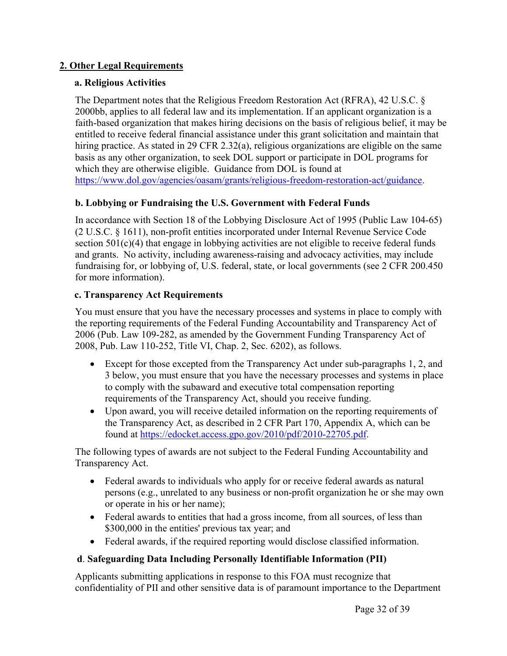#### **2. Other Legal Requirements**

#### **a. Religious Activities**

The Department notes that the Religious Freedom Restoration Act (RFRA), 42 U.S.C. § 2000bb, applies to all federal law and its implementation. If an applicant organization is a faith-based organization that makes hiring decisions on the basis of religious belief, it may be entitled to receive federal financial assistance under this grant solicitation and maintain that hiring practice. As stated in 29 CFR 2.32(a), religious organizations are eligible on the same basis as any other organization, to seek DOL support or participate in DOL programs for which they are otherwise eligible. Guidance from DOL is found at [https://www.dol.gov/agencies/oasam/grants/religious-freedom-restoration-act/guidance.](https://www.dol.gov/agencies/oasam/grants/religious-freedom-restoration-act/guidance)

#### **b. Lobbying or Fundraising the U.S. Government with Federal Funds**

In accordance with Section 18 of the Lobbying Disclosure Act of 1995 (Public Law 104-65) (2 U.S.C. § 1611), non-profit entities incorporated under Internal Revenue Service Code section 501(c)(4) that engage in lobbying activities are not eligible to receive federal funds and grants. No activity, including awareness-raising and advocacy activities, may include fundraising for, or lobbying of, U.S. federal, state, or local governments (see 2 CFR 200.450 for more information).

#### **c. Transparency Act Requirements**

You must ensure that you have the necessary processes and systems in place to comply with the reporting requirements of the Federal Funding Accountability and Transparency Act of 2006 (Pub. Law 109-282, as amended by the Government Funding Transparency Act of 2008, Pub. Law 110-252, Title VI, Chap. 2, Sec. 6202), as follows.

- Except for those excepted from the Transparency Act under sub-paragraphs 1, 2, and 3 below, you must ensure that you have the necessary processes and systems in place to comply with the subaward and executive total compensation reporting requirements of the Transparency Act, should you receive funding.
- Upon award, you will receive detailed information on the reporting requirements of the Transparency Act, as described in 2 CFR Part 170, Appendix A, which can be found at [https://edocket.access.gpo.gov/2010/pdf/2010-22705.pdf.](https://edocket.access.gpo.gov/2010/pdf/2010-22705.pdf)

The following types of awards are not subject to the Federal Funding Accountability and Transparency Act.

- Federal awards to individuals who apply for or receive federal awards as natural persons (e.g., unrelated to any business or non-profit organization he or she may own or operate in his or her name);
- Federal awards to entities that had a gross income, from all sources, of less than \$300,000 in the entities' previous tax year; and
- Federal awards, if the required reporting would disclose classified information.

#### **d**. **Safeguarding Data Including Personally Identifiable Information (PII)**

Applicants submitting applications in response to this FOA must recognize that confidentiality of PII and other sensitive data is of paramount importance to the Department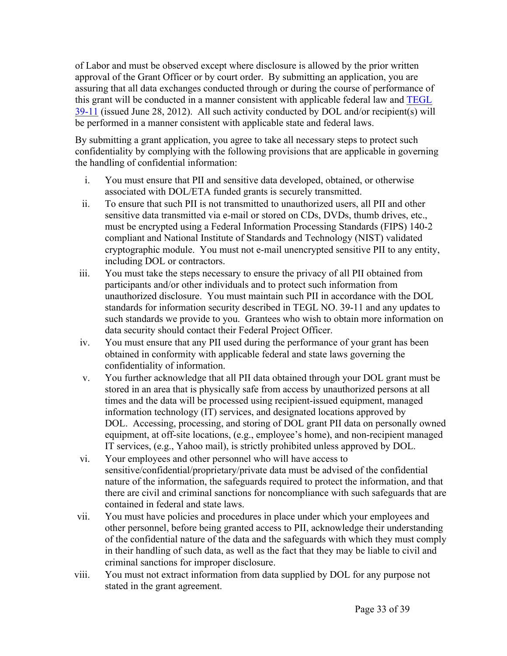of Labor and must be observed except where disclosure is allowed by the prior written approval of the Grant Officer or by court order. By submitting an application, you are assuring that all data exchanges conducted through or during the course of performance of this grant will be conducted in a manner consistent with applicable federal law and [TEGL](https://wdr.doleta.gov/directives/corr_doc.cfm?DOCN=7872) [39-11](https://wdr.doleta.gov/directives/corr_doc.cfm?DOCN=7872) (issued June 28, 2012). All such activity conducted by DOL and/or recipient(s) will be performed in a manner consistent with applicable state and federal laws.

By submitting a grant application, you agree to take all necessary steps to protect such confidentiality by complying with the following provisions that are applicable in governing the handling of confidential information:

- i. You must ensure that PII and sensitive data developed, obtained, or otherwise associated with DOL/ETA funded grants is securely transmitted.
- ii. To ensure that such PII is not transmitted to unauthorized users, all PII and other sensitive data transmitted via e-mail or stored on CDs, DVDs, thumb drives, etc., must be encrypted using a Federal Information Processing Standards (FIPS) 140-2 compliant and National Institute of Standards and Technology (NIST) validated cryptographic module. You must not e-mail unencrypted sensitive PII to any entity, including DOL or contractors.
- iii. You must take the steps necessary to ensure the privacy of all PII obtained from participants and/or other individuals and to protect such information from unauthorized disclosure. You must maintain such PII in accordance with the DOL standards for information security described in TEGL NO. 39-11 and any updates to such standards we provide to you. Grantees who wish to obtain more information on data security should contact their Federal Project Officer.
- iv. You must ensure that any PII used during the performance of your grant has been obtained in conformity with applicable federal and state laws governing the confidentiality of information.
- v. You further acknowledge that all PII data obtained through your DOL grant must be stored in an area that is physically safe from access by unauthorized persons at all times and the data will be processed using recipient-issued equipment, managed information technology (IT) services, and designated locations approved by DOL. Accessing, processing, and storing of DOL grant PII data on personally owned equipment, at off-site locations, (e.g., employee's home), and non-recipient managed IT services, (e.g., Yahoo mail), is strictly prohibited unless approved by DOL.
- vi. Your employees and other personnel who will have access to sensitive/confidential/proprietary/private data must be advised of the confidential nature of the information, the safeguards required to protect the information, and that there are civil and criminal sanctions for noncompliance with such safeguards that are contained in federal and state laws.
- vii. You must have policies and procedures in place under which your employees and other personnel, before being granted access to PII, acknowledge their understanding of the confidential nature of the data and the safeguards with which they must comply in their handling of such data, as well as the fact that they may be liable to civil and criminal sanctions for improper disclosure.
- viii. You must not extract information from data supplied by DOL for any purpose not stated in the grant agreement.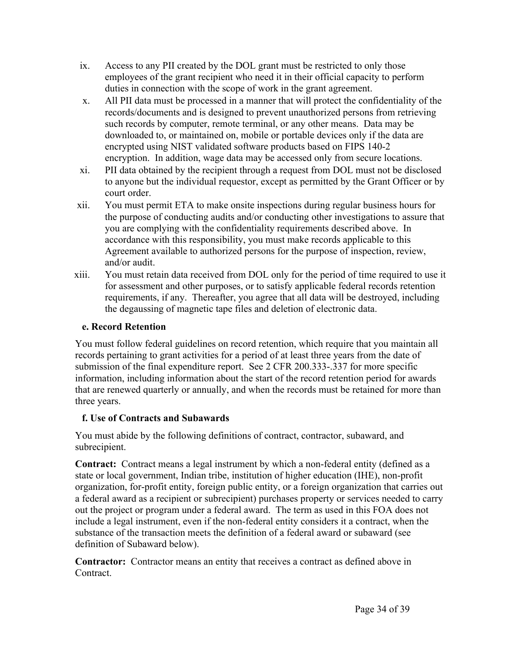- ix. Access to any PII created by the DOL grant must be restricted to only those employees of the grant recipient who need it in their official capacity to perform duties in connection with the scope of work in the grant agreement.
- x. All PII data must be processed in a manner that will protect the confidentiality of the records/documents and is designed to prevent unauthorized persons from retrieving such records by computer, remote terminal, or any other means. Data may be downloaded to, or maintained on, mobile or portable devices only if the data are encrypted using NIST validated software products based on FIPS 140-2 encryption. In addition, wage data may be accessed only from secure locations.
- xi. PII data obtained by the recipient through a request from DOL must not be disclosed to anyone but the individual requestor, except as permitted by the Grant Officer or by court order.
- xii. You must permit ETA to make onsite inspections during regular business hours for the purpose of conducting audits and/or conducting other investigations to assure that you are complying with the confidentiality requirements described above. In accordance with this responsibility, you must make records applicable to this Agreement available to authorized persons for the purpose of inspection, review, and/or audit.
- xiii. You must retain data received from DOL only for the period of time required to use it for assessment and other purposes, or to satisfy applicable federal records retention requirements, if any. Thereafter, you agree that all data will be destroyed, including the degaussing of magnetic tape files and deletion of electronic data.

# **e. Record Retention**

You must follow federal guidelines on record retention, which require that you maintain all records pertaining to grant activities for a period of at least three years from the date of submission of the final expenditure report. See 2 CFR 200.333-.337 for more specific information, including information about the start of the record retention period for awards that are renewed quarterly or annually, and when the records must be retained for more than three years.

# **f. Use of Contracts and Subawards**

You must abide by the following definitions of contract, contractor, subaward, and subrecipient.

**Contract:** Contract means a legal instrument by which a non-federal entity (defined as a state or local government, Indian tribe, institution of higher education (IHE), non-profit organization, for-profit entity, foreign public entity, or a foreign organization that carries out a federal award as a recipient or subrecipient) purchases property or services needed to carry out the project or program under a federal award. The term as used in this FOA does not include a legal instrument, even if the non-federal entity considers it a contract, when the substance of the transaction meets the definition of a federal award or subaward (see definition of Subaward below).

**Contractor:** Contractor means an entity that receives a contract as defined above in Contract.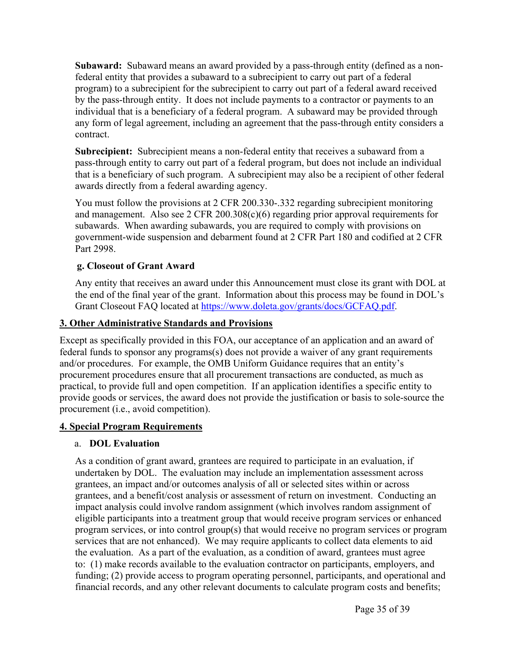**Subaward:** Subaward means an award provided by a pass-through entity (defined as a nonfederal entity that provides a subaward to a subrecipient to carry out part of a federal program) to a subrecipient for the subrecipient to carry out part of a federal award received by the pass-through entity. It does not include payments to a contractor or payments to an individual that is a beneficiary of a federal program. A subaward may be provided through any form of legal agreement, including an agreement that the pass-through entity considers a contract.

**Subrecipient:** Subrecipient means a non-federal entity that receives a subaward from a pass-through entity to carry out part of a federal program, but does not include an individual that is a beneficiary of such program. A subrecipient may also be a recipient of other federal awards directly from a federal awarding agency.

You must follow the provisions at 2 CFR 200.330-.332 regarding subrecipient monitoring and management. Also see 2 CFR 200.308(c)(6) regarding prior approval requirements for subawards. When awarding subawards, you are required to comply with provisions on government-wide suspension and debarment found at 2 CFR Part 180 and codified at 2 CFR Part 2998.

#### **g. Closeout of Grant Award**

Any entity that receives an award under this Announcement must close its grant with DOL at the end of the final year of the grant. Information about this process may be found in DOL's Grant Closeout FAQ located at [https://www.doleta.gov/grants/docs/GCFAQ.pdf.](https://www.doleta.gov/grants/docs/GCFAQ.pdf)

#### **3. Other Administrative Standards and Provisions**

Except as specifically provided in this FOA, our acceptance of an application and an award of federal funds to sponsor any programs(s) does not provide a waiver of any grant requirements and/or procedures. For example, the OMB Uniform Guidance requires that an entity's procurement procedures ensure that all procurement transactions are conducted, as much as practical, to provide full and open competition. If an application identifies a specific entity to provide goods or services, the award does not provide the justification or basis to sole-source the procurement (i.e., avoid competition).

#### **4. Special Program Requirements**

#### a. **DOL Evaluation**

As a condition of grant award, grantees are required to participate in an evaluation, if undertaken by DOL. The evaluation may include an implementation assessment across grantees, an impact and/or outcomes analysis of all or selected sites within or across grantees, and a benefit/cost analysis or assessment of return on investment. Conducting an impact analysis could involve random assignment (which involves random assignment of eligible participants into a treatment group that would receive program services or enhanced program services, or into control group(s) that would receive no program services or program services that are not enhanced). We may require applicants to collect data elements to aid the evaluation. As a part of the evaluation, as a condition of award, grantees must agree to: (1) make records available to the evaluation contractor on participants, employers, and funding; (2) provide access to program operating personnel, participants, and operational and financial records, and any other relevant documents to calculate program costs and benefits;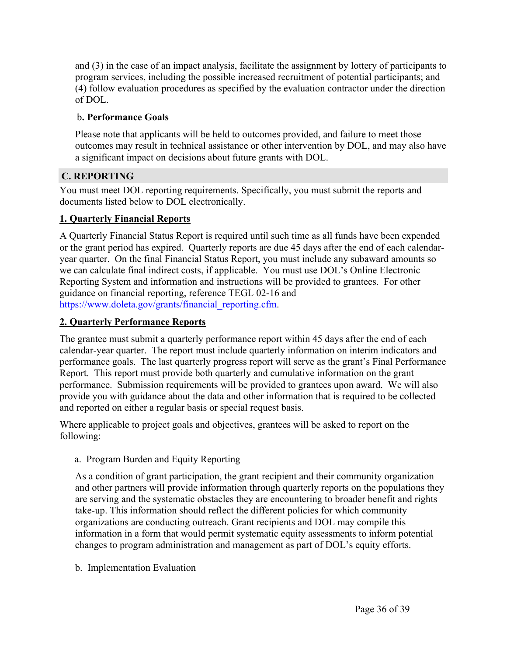and (3) in the case of an impact analysis, facilitate the assignment by lottery of participants to program services, including the possible increased recruitment of potential participants; and (4) follow evaluation procedures as specified by the evaluation contractor under the direction of DOL.

#### b**. Performance Goals**

Please note that applicants will be held to outcomes provided, and failure to meet those outcomes may result in technical assistance or other intervention by DOL, and may also have a significant impact on decisions about future grants with DOL.

#### <span id="page-36-0"></span>**C. REPORTING**

You must meet DOL reporting requirements. Specifically, you must submit the reports and documents listed below to DOL electronically.

#### **1. Quarterly Financial Reports**

A Quarterly Financial Status Report is required until such time as all funds have been expended or the grant period has expired. Quarterly reports are due 45 days after the end of each calendaryear quarter. On the final Financial Status Report, you must include any subaward amounts so we can calculate final indirect costs, if applicable. You must use DOL's Online Electronic Reporting System and information and instructions will be provided to grantees. For other guidance on financial reporting, reference TEGL 02-16 and [https://www.doleta.gov/grants/financial\\_reporting.cfm](https://www.doleta.gov/grants/financial_reporting.cfm).

# **2. Quarterly Performance Reports**

The grantee must submit a quarterly performance report within 45 days after the end of each calendar-year quarter. The report must include quarterly information on interim indicators and performance goals. The last quarterly progress report will serve as the grant's Final Performance Report. This report must provide both quarterly and cumulative information on the grant performance. Submission requirements will be provided to grantees upon award. We will also provide you with guidance about the data and other information that is required to be collected and reported on either a regular basis or special request basis.

Where applicable to project goals and objectives, grantees will be asked to report on the following:

a. Program Burden and Equity Reporting

As a condition of grant participation, the grant recipient and their community organization and other partners will provide information through quarterly reports on the populations they are serving and the systematic obstacles they are encountering to broader benefit and rights take-up. This information should reflect the different policies for which community organizations are conducting outreach. Grant recipients and DOL may compile this information in a form that would permit systematic equity assessments to inform potential changes to program administration and management as part of DOL's equity efforts.

b. Implementation Evaluation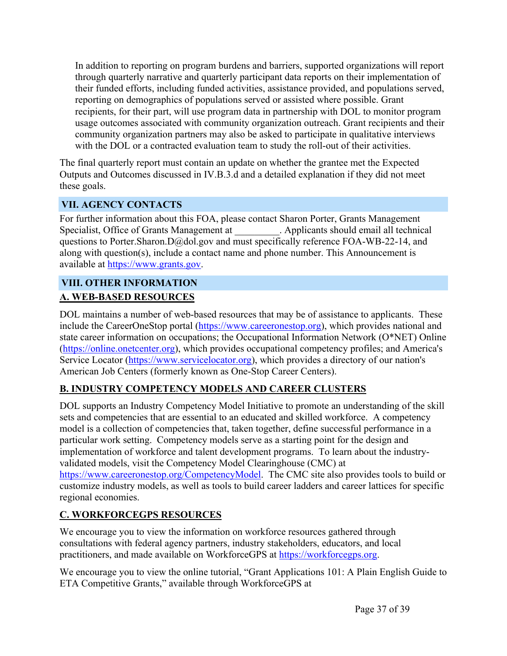In addition to reporting on program burdens and barriers, supported organizations will report through quarterly narrative and quarterly participant data reports on their implementation of their funded efforts, including funded activities, assistance provided, and populations served, reporting on demographics of populations served or assisted where possible. Grant recipients, for their part, will use program data in partnership with DOL to monitor program usage outcomes associated with community organization outreach. Grant recipients and their community organization partners may also be asked to participate in qualitative interviews with the DOL or a contracted evaluation team to study the roll-out of their activities.

The final quarterly report must contain an update on whether the grantee met the Expected Outputs and Outcomes discussed in IV.B.3.d and a detailed explanation if they did not meet these goals.

# <span id="page-37-0"></span>**VII. AGENCY CONTACTS**

For further information about this FOA, please contact Sharon Porter, Grants Management Specialist, Office of Grants Management at . Applicants should email all technical questions to Porter.Sharon.D@dol.gov and must specifically reference FOA-WB-22-14, and along with question(s), include a contact name and phone number. This Announcement is available at [https://www.grants.gov.](https://www.grants.gov)

# <span id="page-37-1"></span>**VIII. OTHER INFORMATION A. WEB-BASED RESOURCES**

DOL maintains a number of web-based resources that may be of assistance to applicants. These include the CareerOneStop portal ([https://www.careeronestop.org\)](https://www.careeronestop.org), which provides national and state career information on occupations; the Occupational Information Network (O\*NET) Online (<https://online.onetcenter.org>), which provides occupational competency profiles; and America's Service Locator [\(https://www.servicelocator.org\)](https://www.servicelocator.org), which provides a directory of our nation's American Job Centers (formerly known as One-Stop Career Centers).

#### **B. INDUSTRY COMPETENCY MODELS AND CAREER CLUSTERS**

DOL supports an Industry Competency Model Initiative to promote an understanding of the skill sets and competencies that are essential to an educated and skilled workforce. A competency model is a collection of competencies that, taken together, define successful performance in a particular work setting. Competency models serve as a starting point for the design and implementation of workforce and talent development programs. To learn about the industryvalidated models, visit the Competency Model Clearinghouse (CMC) at <https://www.careeronestop.org/CompetencyModel>. The CMC site also provides tools to build or customize industry models, as well as tools to build career ladders and career lattices for specific regional economies.

# **C. WORKFORCEGPS RESOURCES**

We encourage you to view the information on workforce resources gathered through consultations with federal agency partners, industry stakeholders, educators, and local practitioners, and made available on WorkforceGPS at [https://workforcegps.org.](https://workforcegps.org)

We encourage you to view the online tutorial, "Grant Applications 101: A Plain English Guide to ETA Competitive Grants," available through WorkforceGPS at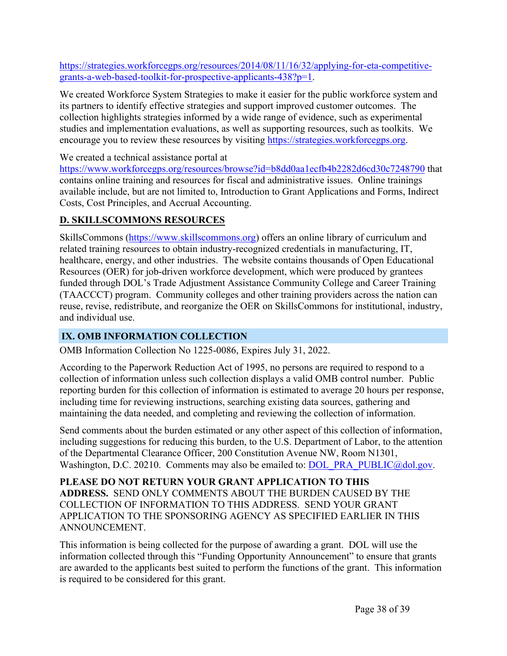[https://strategies.workforcegps.org/resources/2014/08/11/16/32/applying-for-eta-competitive](https://strategies.workforcegps.org/resources/2014/08/11/16/32/applying-for-eta-competitive-grants-a-web-based-toolkit-for-prospective-applicants-438?p=1)[grants-a-web-based-toolkit-for-prospective-applicants-438?p=1](https://strategies.workforcegps.org/resources/2014/08/11/16/32/applying-for-eta-competitive-grants-a-web-based-toolkit-for-prospective-applicants-438?p=1).

We created Workforce System Strategies to make it easier for the public workforce system and its partners to identify effective strategies and support improved customer outcomes. The collection highlights strategies informed by a wide range of evidence, such as experimental studies and implementation evaluations, as well as supporting resources, such as toolkits. We encourage you to review these resources by visiting [https://strategies.workforcegps.org.](https://strategies.workforcegps.org)

We created a technical assistance portal at

<https://www.workforcegps.org/resources/browse?id=b8dd0aa1ecfb4b2282d6cd30c7248790> that contains online training and resources for fiscal and administrative issues. Online trainings available include, but are not limited to, Introduction to Grant Applications and Forms, Indirect Costs, Cost Principles, and Accrual Accounting.

# **D. SKILLSCOMMONS RESOURCES**

SkillsCommons (<https://www.skillscommons.org>) offers an online library of curriculum and related training resources to obtain industry-recognized credentials in manufacturing, IT, healthcare, energy, and other industries. The website contains thousands of Open Educational Resources (OER) for job-driven workforce development, which were produced by grantees funded through DOL's Trade Adjustment Assistance Community College and Career Training (TAACCCT) program. Community colleges and other training providers across the nation can reuse, revise, redistribute, and reorganize the OER on SkillsCommons for institutional, industry, and individual use.

# <span id="page-38-0"></span>**IX. OMB INFORMATION COLLECTION**

OMB Information Collection No 1225-0086, Expires July 31, 2022.

According to the Paperwork Reduction Act of 1995, no persons are required to respond to a collection of information unless such collection displays a valid OMB control number. Public reporting burden for this collection of information is estimated to average 20 hours per response, including time for reviewing instructions, searching existing data sources, gathering and maintaining the data needed, and completing and reviewing the collection of information.

Send comments about the burden estimated or any other aspect of this collection of information, including suggestions for reducing this burden, to the U.S. Department of Labor, to the attention of the Departmental Clearance Officer, 200 Constitution Avenue NW, Room N1301, Washington, D.C. 20210. Comments may also be emailed to: [DOL\\_PRA\\_PUBLIC@dol.gov.](mailto:DOL_PRA_PUBLIC@dol.gov)

**PLEASE DO NOT RETURN YOUR GRANT APPLICATION TO THIS ADDRESS.** SEND ONLY COMMENTS ABOUT THE BURDEN CAUSED BY THE COLLECTION OF INFORMATION TO THIS ADDRESS. SEND YOUR GRANT APPLICATION TO THE SPONSORING AGENCY AS SPECIFIED EARLIER IN THIS ANNOUNCEMENT.

This information is being collected for the purpose of awarding a grant. DOL will use the information collected through this "Funding Opportunity Announcement" to ensure that grants are awarded to the applicants best suited to perform the functions of the grant. This information is required to be considered for this grant.